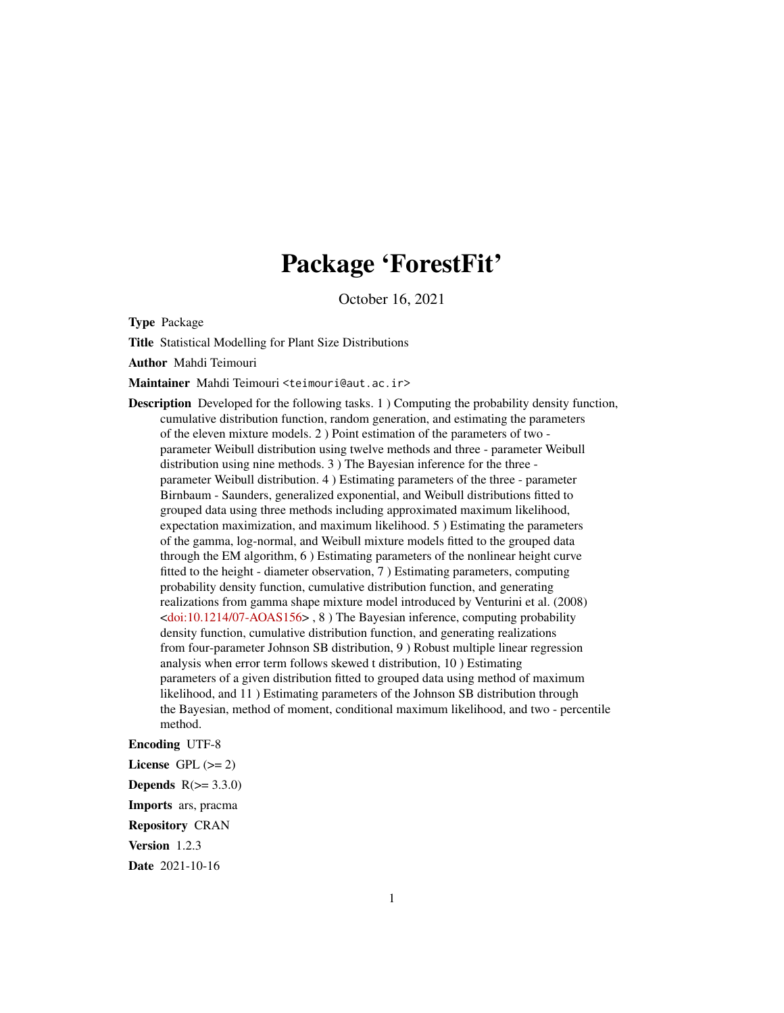## Package 'ForestFit'

October 16, 2021

Type Package

Title Statistical Modelling for Plant Size Distributions

Author Mahdi Teimouri

Maintainer Mahdi Teimouri <teimouri@aut.ac.ir>

Description Developed for the following tasks. 1 ) Computing the probability density function, cumulative distribution function, random generation, and estimating the parameters of the eleven mixture models. 2 ) Point estimation of the parameters of two parameter Weibull distribution using twelve methods and three - parameter Weibull distribution using nine methods. 3 ) The Bayesian inference for the three parameter Weibull distribution. 4 ) Estimating parameters of the three - parameter Birnbaum - Saunders, generalized exponential, and Weibull distributions fitted to grouped data using three methods including approximated maximum likelihood, expectation maximization, and maximum likelihood. 5 ) Estimating the parameters of the gamma, log-normal, and Weibull mixture models fitted to the grouped data through the EM algorithm, 6 ) Estimating parameters of the nonlinear height curve fitted to the height - diameter observation, 7 ) Estimating parameters, computing probability density function, cumulative distribution function, and generating realizations from gamma shape mixture model introduced by Venturini et al. (2008)  $\leq$ doi:10.1214/07-AOAS156>, 8) The Bayesian inference, computing probability density function, cumulative distribution function, and generating realizations from four-parameter Johnson SB distribution, 9 ) Robust multiple linear regression analysis when error term follows skewed t distribution, 10 ) Estimating parameters of a given distribution fitted to grouped data using method of maximum likelihood, and 11 ) Estimating parameters of the Johnson SB distribution through the Bayesian, method of moment, conditional maximum likelihood, and two - percentile method.

## Encoding UTF-8

License GPL  $(>= 2)$ Depends  $R(>= 3.3.0)$ 

Imports ars, pracma

Repository CRAN

Version 1.2.3

Date 2021-10-16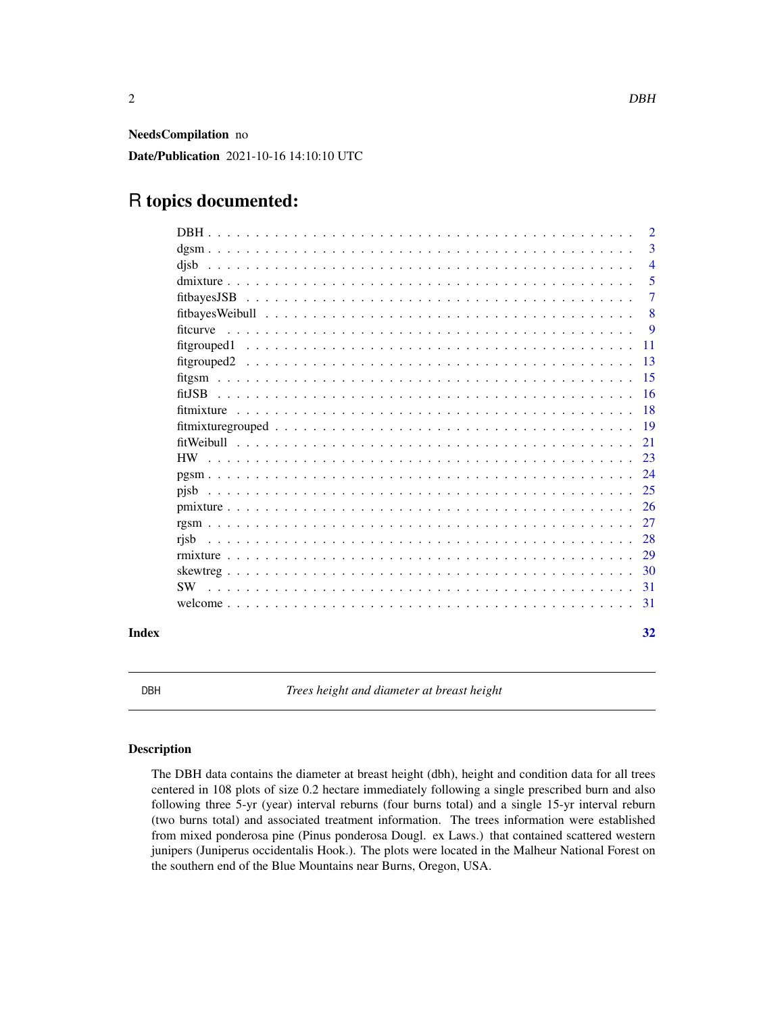<span id="page-1-0"></span>NeedsCompilation no

Date/Publication 2021-10-16 14:10:10 UTC

## R topics documented:

|       |             | $\overline{2}$ |
|-------|-------------|----------------|
|       |             | 3              |
|       | disb        | $\overline{4}$ |
|       |             | 5              |
|       | fitbayesJSB | 7              |
|       |             | 8              |
|       |             | -9             |
|       |             | <b>11</b>      |
|       |             | 13             |
|       |             | 15             |
|       |             | <sup>16</sup>  |
|       | fitmixture  | <b>18</b>      |
|       |             |                |
|       |             | 21             |
|       |             | 23             |
|       |             | 24             |
|       | pisb        | 25             |
|       |             | 26             |
|       |             | 27             |
|       | risb        | 28             |
|       |             | 29             |
|       |             | -30            |
|       |             | 31             |
|       |             | 31             |
| Index |             | 32             |

DBH *Trees height and diameter at breast height*

## Description

The DBH data contains the diameter at breast height (dbh), height and condition data for all trees centered in 108 plots of size 0.2 hectare immediately following a single prescribed burn and also following three 5-yr (year) interval reburns (four burns total) and a single 15-yr interval reburn (two burns total) and associated treatment information. The trees information were established from mixed ponderosa pine (Pinus ponderosa Dougl. ex Laws.) that contained scattered western junipers (Juniperus occidentalis Hook.). The plots were located in the Malheur National Forest on the southern end of the Blue Mountains near Burns, Oregon, USA.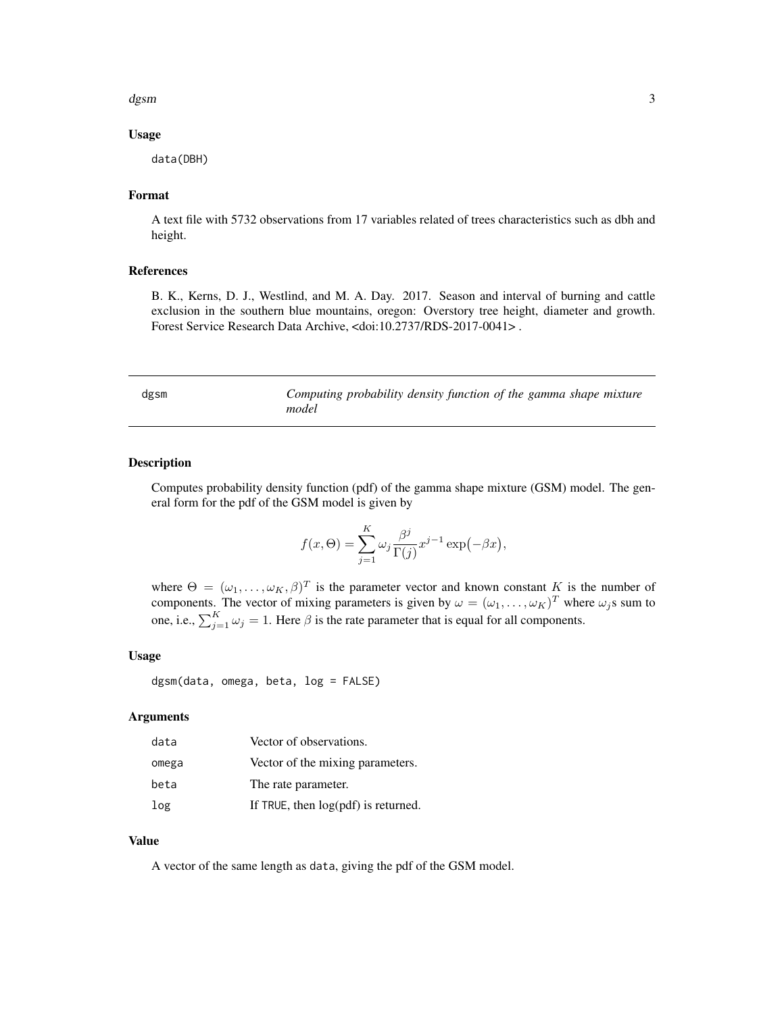#### <span id="page-2-0"></span>dgsm 3

#### Usage

data(DBH)

## Format

A text file with 5732 observations from 17 variables related of trees characteristics such as dbh and height.

## References

B. K., Kerns, D. J., Westlind, and M. A. Day. 2017. Season and interval of burning and cattle exclusion in the southern blue mountains, oregon: Overstory tree height, diameter and growth. Forest Service Research Data Archive, <doi:10.2737/RDS-2017-0041> .

dgsm *Computing probability density function of the gamma shape mixture model*

## **Description**

Computes probability density function (pdf) of the gamma shape mixture (GSM) model. The general form for the pdf of the GSM model is given by

$$
f(x,\Theta) = \sum_{j=1}^{K} \omega_j \frac{\beta^j}{\Gamma(j)} x^{j-1} \exp(-\beta x),
$$

where  $\Theta = (\omega_1, \dots, \omega_K, \beta)^T$  is the parameter vector and known constant K is the number of components. The vector of mixing parameters is given by  $\omega = (\omega_1, \dots, \omega_K)^T$  where  $\omega_j$ s sum to one, i.e.,  $\sum_{j=1}^{K} \omega_j = 1$ . Here  $\beta$  is the rate parameter that is equal for all components.

## Usage

dgsm(data, omega, beta, log = FALSE)

## Arguments

| data  | Vector of observations.               |
|-------|---------------------------------------|
| omega | Vector of the mixing parameters.      |
| beta  | The rate parameter.                   |
| log   | If TRUE, then $log(pdf)$ is returned. |

#### Value

A vector of the same length as data, giving the pdf of the GSM model.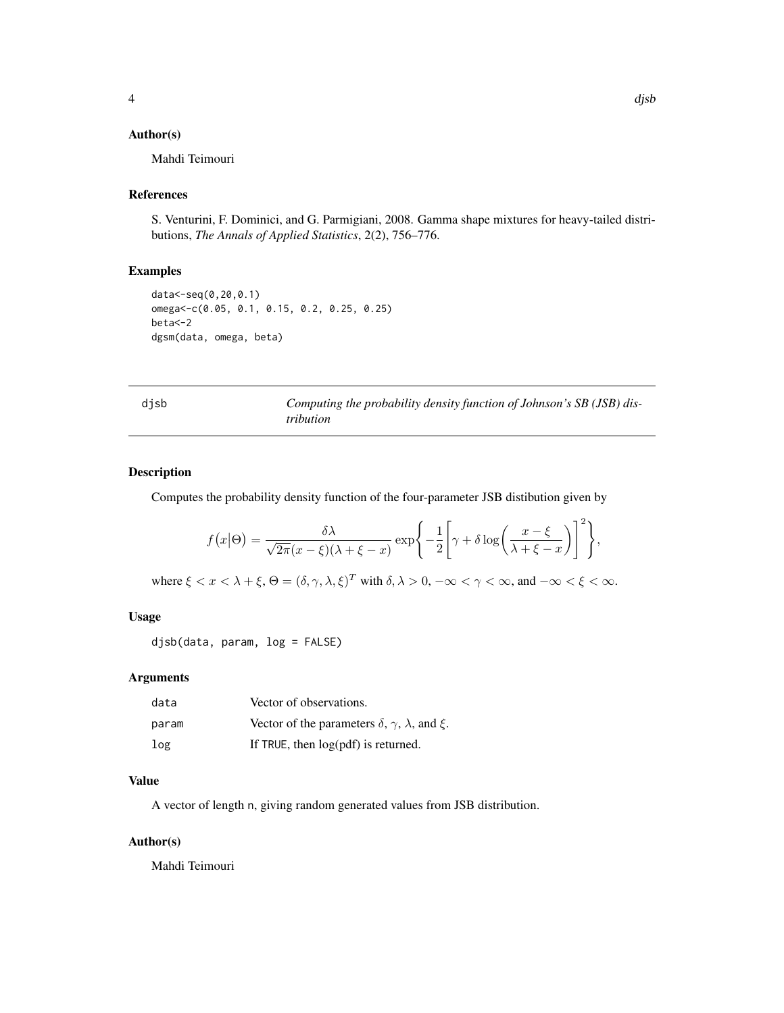## <span id="page-3-0"></span>Author(s)

Mahdi Teimouri

#### References

S. Venturini, F. Dominici, and G. Parmigiani, 2008. Gamma shape mixtures for heavy-tailed distributions, *The Annals of Applied Statistics*, 2(2), 756–776.

## Examples

```
data<-seq(0,20,0.1)
omega<-c(0.05, 0.1, 0.15, 0.2, 0.25, 0.25)
beta<-2
dgsm(data, omega, beta)
```
djsb *Computing the probability density function of Johnson's SB (JSB) distribution*

#### Description

Computes the probability density function of the four-parameter JSB distibution given by

$$
f(x|\Theta) = \frac{\delta \lambda}{\sqrt{2\pi}(x-\xi)(\lambda+\xi-x)} \exp\left\{-\frac{1}{2}\left[\gamma+\delta\log\left(\frac{x-\xi}{\lambda+\xi-x}\right)\right]^2\right\},\,
$$

where  $\xi < x < \lambda + \xi$ ,  $\Theta = (\delta, \gamma, \lambda, \xi)^T$  with  $\delta, \lambda > 0$ ,  $-\infty < \gamma < \infty$ , and  $-\infty < \xi < \infty$ .

### Usage

djsb(data, param, log = FALSE)

#### Arguments

| data  | Vector of observations.                                                |
|-------|------------------------------------------------------------------------|
| param | Vector of the parameters $\delta$ , $\gamma$ , $\lambda$ , and $\xi$ . |
| log   | If TRUE, then $log(pdf)$ is returned.                                  |

#### Value

A vector of length n, giving random generated values from JSB distribution.

#### Author(s)

Mahdi Teimouri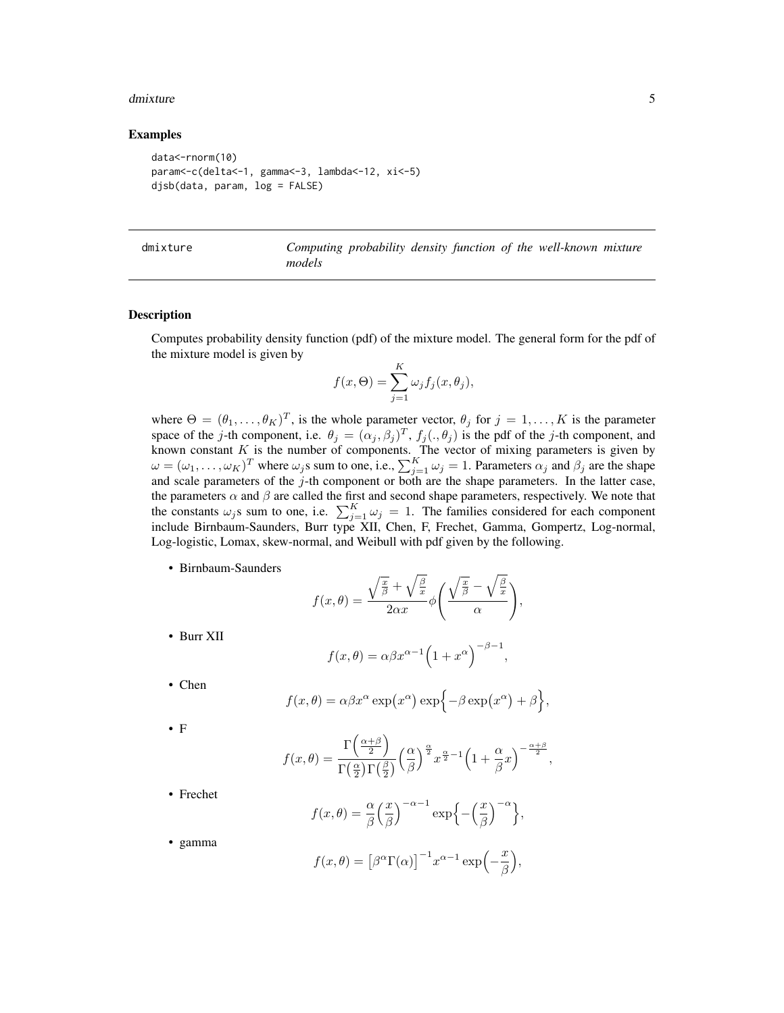#### <span id="page-4-0"></span>dmixture 5

#### Examples

```
data<-rnorm(10)
param<-c(delta<-1, gamma<-3, lambda<-12, xi<-5)
djsb(data, param, log = FALSE)
```

| dmixture |  |
|----------|--|
|          |  |

Computing probability density function of the well-known mixture *models*

#### Description

Computes probability density function (pdf) of the mixture model. The general form for the pdf of the mixture model is given by

$$
f(x,\Theta) = \sum_{j=1}^{K} \omega_j f_j(x,\theta_j),
$$

where  $\Theta = (\theta_1, \dots, \theta_K)^T$ , is the whole parameter vector,  $\theta_j$  for  $j = 1, \dots, K$  is the parameter space of the j-th component, i.e.  $\theta_j = (\alpha_j, \beta_j)^T$ ,  $f_j(., \theta_j)$  is the pdf of the j-th component, and known constant  $K$  is the number of components. The vector of mixing parameters is given by  $\omega = (\omega_1, \dots, \omega_K)^T$  where  $\omega_j$ s sum to one, i.e.,  $\sum_{j=1}^K \omega_j = 1$ . Parameters  $\alpha_j$  and  $\beta_j$  are the shape and scale parameters of the  $j$ -th component or both are the shape parameters. In the latter case, the parameters  $\alpha$  and  $\beta$  are called the first and second shape parameters, respectively. We note that the constants  $\omega_j$ s sum to one, i.e.  $\sum_{j=1}^K \omega_j = 1$ . The families considered for each component include Birnbaum-Saunders, Burr type XII, Chen, F, Frechet, Gamma, Gompertz, Log-normal, Log-logistic, Lomax, skew-normal, and Weibull with pdf given by the following.

• Birnbaum-Saunders

$$
f(x,\theta) = \frac{\sqrt{\frac{x}{\beta}} + \sqrt{\frac{\beta}{x}}}{2\alpha x} \phi\left(\frac{\sqrt{\frac{x}{\beta}} - \sqrt{\frac{\beta}{x}}}{\alpha}\right),
$$

• Burr XII

$$
f(x,\theta) = \alpha \beta x^{\alpha-1} \left(1 + x^{\alpha}\right)^{-\beta - 1},
$$

• Chen

$$
f(x,\theta) = \alpha \beta x^{\alpha} \exp(x^{\alpha}) \exp\{-\beta \exp(x^{\alpha}) + \beta\}
$$

,

• F

$$
f(x,\theta) = \frac{\Gamma\left(\frac{\alpha+\beta}{2}\right)}{\Gamma\left(\frac{\alpha}{2}\right)\Gamma\left(\frac{\beta}{2}\right)} \left(\frac{\alpha}{\beta}\right)^{\frac{\alpha}{2}} x^{\frac{\alpha}{2}-1} \left(1+\frac{\alpha}{\beta}x\right)^{-\frac{\alpha+\beta}{2}},
$$

• Frechet

$$
f(x,\theta) = \frac{\alpha}{\beta} \left(\frac{x}{\beta}\right)^{-\alpha-1} \exp\left\{-\left(\frac{x}{\beta}\right)^{-\alpha}\right\},\,
$$

• gamma

$$
f(x,\theta) = [\beta^{\alpha}\Gamma(\alpha)]^{-1} x^{\alpha-1} \exp\left(-\frac{x}{\beta}\right),
$$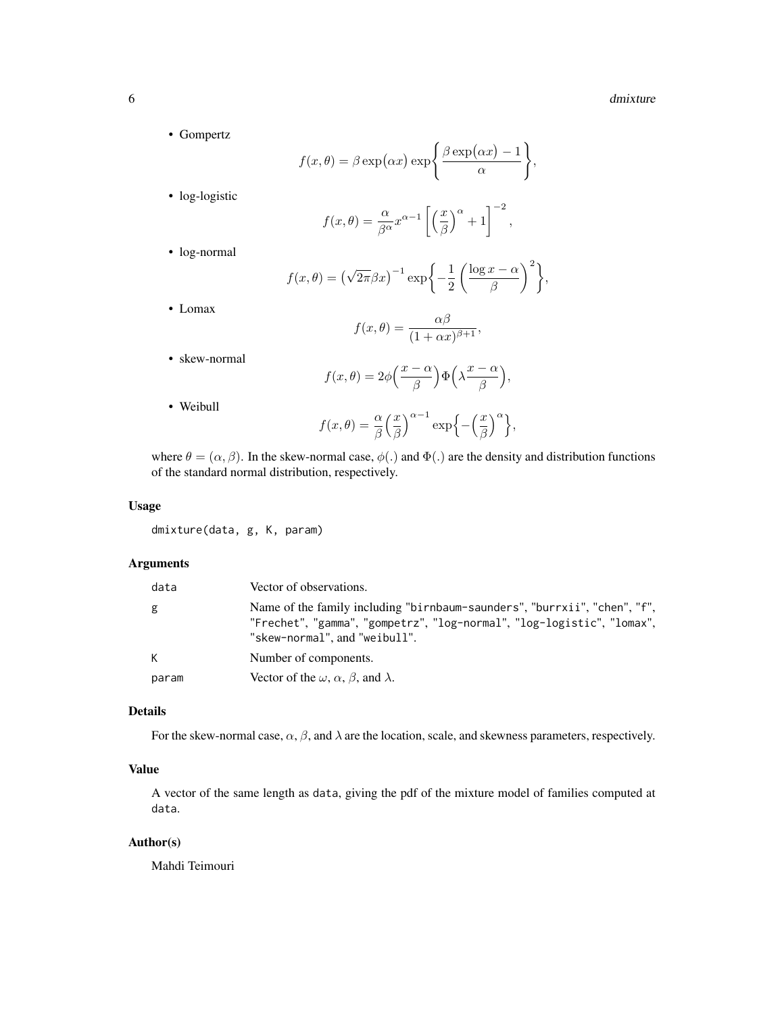#### 6 dmixture

,

• Gompertz

$$
f(x, \theta) = \beta \exp(\alpha x) \exp\left\{\frac{\beta \exp(\alpha x) - 1}{\alpha}\right\}
$$

• log-logistic

$$
f(x,\theta) = \frac{\alpha}{\beta^{\alpha}} x^{\alpha-1} \left[ \left( \frac{x}{\beta} \right)^{\alpha} + 1 \right]^{-2},
$$

• log-normal

$$
f(x,\theta) = (\sqrt{2\pi}\beta x)^{-1} \exp\bigg\{-\frac{1}{2}\left(\frac{\log x - \alpha}{\beta}\right)^2\bigg\},\,
$$

• Lomax

$$
f(x,\theta) = \frac{\alpha\beta}{(1+\alpha x)^{\beta+1}},
$$

• skew-normal

$$
f(x,\theta) = 2\phi\left(\frac{x-\alpha}{\beta}\right)\Phi\left(\lambda\frac{x-\alpha}{\beta}\right),\,
$$

• Weibull

$$
f(x,\theta) = \frac{\alpha}{\beta} \left(\frac{x}{\beta}\right)^{\alpha-1} \exp\left\{-\left(\frac{x}{\beta}\right)^{\alpha}\right\},\,
$$

where  $\theta = (\alpha, \beta)$ . In the skew-normal case,  $\phi(.)$  and  $\Phi(.)$  are the density and distribution functions of the standard normal distribution, respectively.

## Usage

dmixture(data, g, K, param)

## Arguments

| data  | Vector of observations.                                                                                                                                                              |
|-------|--------------------------------------------------------------------------------------------------------------------------------------------------------------------------------------|
| g     | Name of the family including "birnbaum-saunders", "burrxii", "chen", "f",<br>"Frechet", "gamma", "gompetrz", "log-normal", "log-logistic", "lomax",<br>"skew-normal", and "weibull". |
| К     | Number of components.                                                                                                                                                                |
| param | Vector of the $\omega$ , $\alpha$ , $\beta$ , and $\lambda$ .                                                                                                                        |

## Details

For the skew-normal case,  $\alpha$ ,  $\beta$ , and  $\lambda$  are the location, scale, and skewness parameters, respectively.

## Value

A vector of the same length as data, giving the pdf of the mixture model of families computed at data.

## Author(s)

Mahdi Teimouri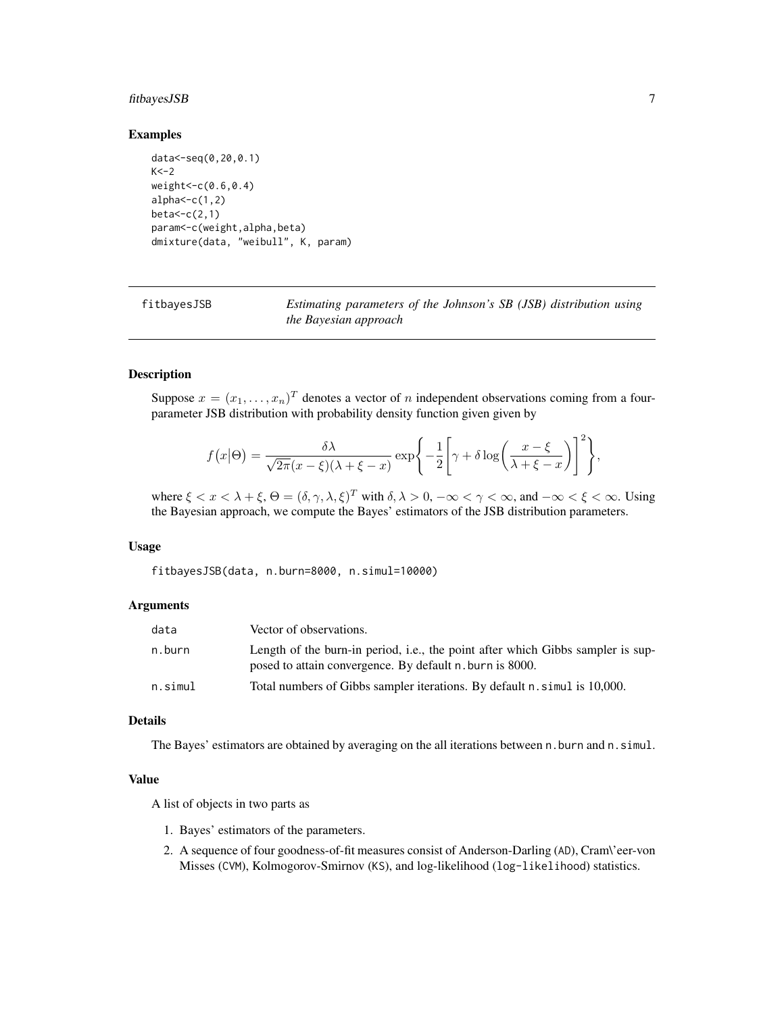## <span id="page-6-0"></span>fitbayesJSB 7

#### Examples

```
data<-seq(0,20,0.1)
K < -2weight<-c(0.6,0.4)
alpha < -c(1,2)beta < -c(2,1)param<-c(weight,alpha,beta)
dmixture(data, "weibull", K, param)
```
fitbayesJSB *Estimating parameters of the Johnson's SB (JSB) distribution using the Bayesian approach*

## Description

Suppose  $x = (x_1, \ldots, x_n)^T$  denotes a vector of n independent observations coming from a fourparameter JSB distribution with probability density function given given by

$$
f(x|\Theta) = \frac{\delta \lambda}{\sqrt{2\pi}(x-\xi)(\lambda+\xi-x)} \exp\left\{-\frac{1}{2}\left[\gamma + \delta \log\left(\frac{x-\xi}{\lambda+\xi-x}\right)\right]^2\right\},\,
$$

where  $\xi < x < \lambda + \xi$ ,  $\Theta = (\delta, \gamma, \lambda, \xi)^T$  with  $\delta, \lambda > 0$ ,  $-\infty < \gamma < \infty$ , and  $-\infty < \xi < \infty$ . Using the Bayesian approach, we compute the Bayes' estimators of the JSB distribution parameters.

#### Usage

fitbayesJSB(data, n.burn=8000, n.simul=10000)

## Arguments

| data    | Vector of observations.                                                                                                                     |
|---------|---------------------------------------------------------------------------------------------------------------------------------------------|
| n.burn  | Length of the burn-in period, i.e., the point after which Gibbs sampler is sup-<br>posed to attain convergence. By default n, burn is 8000. |
| n.simul | Total numbers of Gibbs sampler iterations. By default n. simul is 10,000.                                                                   |

#### Details

The Bayes' estimators are obtained by averaging on the all iterations between n.burn and n.simul.

#### Value

A list of objects in two parts as

- 1. Bayes' estimators of the parameters.
- 2. A sequence of four goodness-of-fit measures consist of Anderson-Darling (AD), Cram\'eer-von Misses (CVM), Kolmogorov-Smirnov (KS), and log-likelihood (log-likelihood) statistics.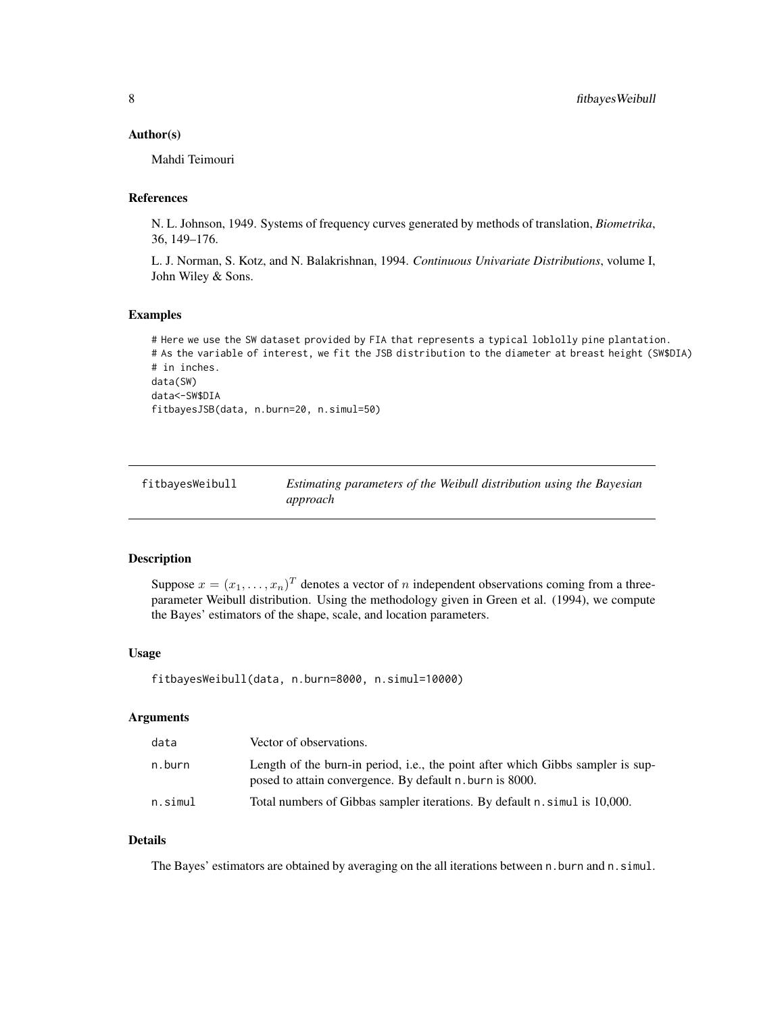#### <span id="page-7-0"></span>Author(s)

Mahdi Teimouri

## References

N. L. Johnson, 1949. Systems of frequency curves generated by methods of translation, *Biometrika*, 36, 149–176.

L. J. Norman, S. Kotz, and N. Balakrishnan, 1994. *Continuous Univariate Distributions*, volume I, John Wiley & Sons.

#### Examples

```
# Here we use the SW dataset provided by FIA that represents a typical loblolly pine plantation.
# As the variable of interest, we fit the JSB distribution to the diameter at breast height (SW$DIA)
# in inches.
data(SW)
data<-SW$DIA
fitbayesJSB(data, n.burn=20, n.simul=50)
```

| fitbayesWeibull | Estimating parameters of the Weibull distribution using the Bayesian |  |
|-----------------|----------------------------------------------------------------------|--|
|                 | approach                                                             |  |

#### Description

Suppose  $x = (x_1, \dots, x_n)^T$  denotes a vector of n independent observations coming from a threeparameter Weibull distribution. Using the methodology given in Green et al. (1994), we compute the Bayes' estimators of the shape, scale, and location parameters.

## Usage

```
fitbayesWeibull(data, n.burn=8000, n.simul=10000)
```
## Arguments

| data    | Vector of observations.                                                                                                                     |
|---------|---------------------------------------------------------------------------------------------------------------------------------------------|
| n.burn  | Length of the burn-in period, i.e., the point after which Gibbs sampler is sup-<br>posed to attain convergence. By default n. burn is 8000. |
| n.simul | Total numbers of Gibbas sampler iterations. By default n. simul is 10,000.                                                                  |

#### Details

The Bayes' estimators are obtained by averaging on the all iterations between n. burn and n. simul.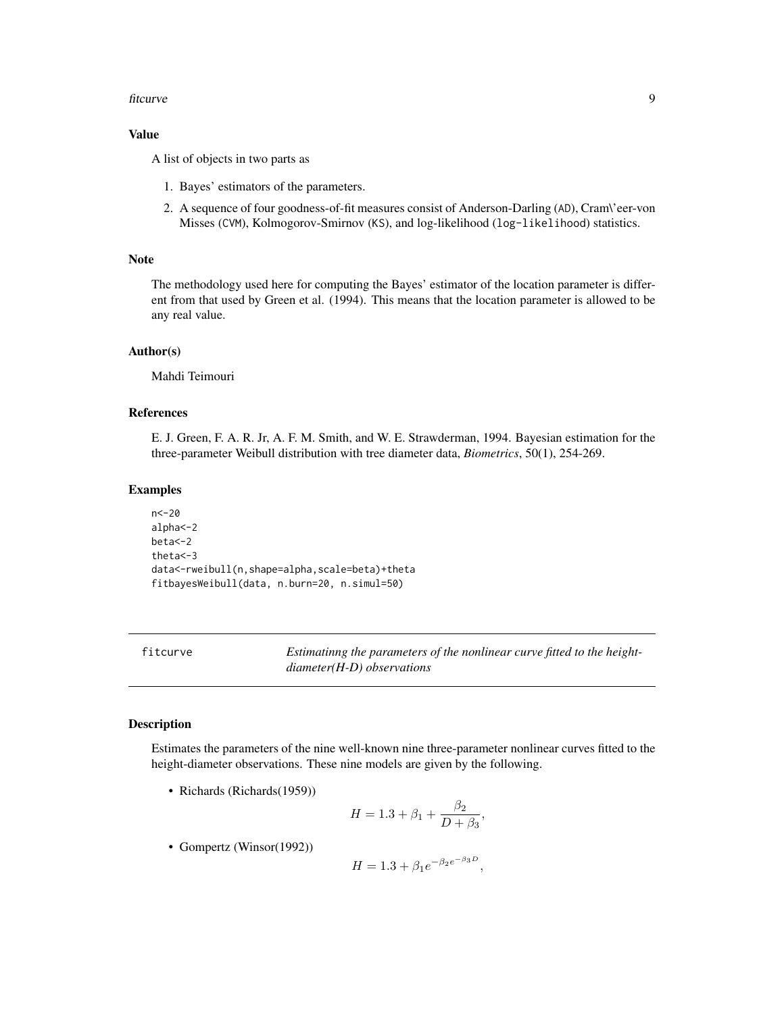#### <span id="page-8-0"></span>fitcurve the contract of the contract of the contract of the contract of the contract of the contract of the contract of the contract of the contract of the contract of the contract of the contract of the contract of the c

## Value

A list of objects in two parts as

- 1. Bayes' estimators of the parameters.
- 2. A sequence of four goodness-of-fit measures consist of Anderson-Darling (AD), Cram\'eer-von Misses (CVM), Kolmogorov-Smirnov (KS), and log-likelihood (log-likelihood) statistics.

#### Note

The methodology used here for computing the Bayes' estimator of the location parameter is different from that used by Green et al. (1994). This means that the location parameter is allowed to be any real value.

## Author(s)

Mahdi Teimouri

## References

E. J. Green, F. A. R. Jr, A. F. M. Smith, and W. E. Strawderman, 1994. Bayesian estimation for the three-parameter Weibull distribution with tree diameter data, *Biometrics*, 50(1), 254-269.

#### Examples

n<-20 alpha<-2 beta<-2 theta<-3 data<-rweibull(n,shape=alpha,scale=beta)+theta fitbayesWeibull(data, n.burn=20, n.simul=50)

fitcurve *Estimatinng the parameters of the nonlinear curve fitted to the heightdiameter(H-D) observations*

## **Description**

Estimates the parameters of the nine well-known nine three-parameter nonlinear curves fitted to the height-diameter observations. These nine models are given by the following.

• Richards (Richards(1959))

$$
H = 1.3 + \beta_1 + \frac{\beta_2}{D + \beta_3},
$$

• Gompertz (Winsor(1992))

$$
H = 1.3 + \beta_1 e^{-\beta_2 e^{-\beta_3 D}},
$$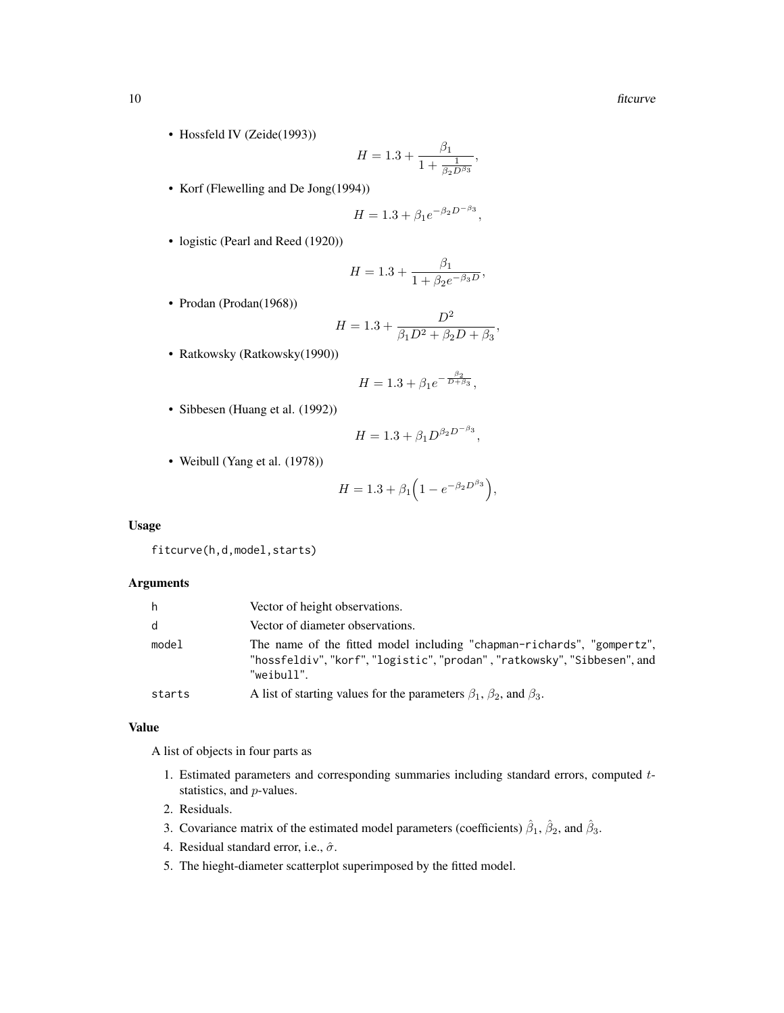• Hossfeld IV (Zeide(1993))

$$
H=1.3+\frac{\beta_1}{1+\frac{1}{\beta_2 D^{\beta_3}}},
$$

• Korf (Flewelling and De Jong(1994))

$$
H = 1.3 + \beta_1 e^{-\beta_2 D^{-\beta_3}},
$$

• logistic (Pearl and Reed (1920))

$$
H = 1.3 + \frac{\beta_1}{1 + \beta_2 e^{-\beta_3 D}},
$$

• Prodan (Prodan(1968))

$$
H = 1.3 + \frac{D^2}{\beta_1 D^2 + \beta_2 D + \beta_3},
$$

• Ratkowsky (Ratkowsky(1990))

$$
H = 1.3 + \beta_1 e^{-\frac{\beta_2}{D + \beta_3}},
$$

• Sibbesen (Huang et al. (1992))

$$
H = 1.3 + \beta_1 D^{\beta_2 D^{-\beta_3}},
$$

• Weibull (Yang et al. (1978))

$$
H = 1.3 + \beta_1 \left( 1 - e^{-\beta_2 D^{\beta_3}} \right),
$$

## Usage

fitcurve(h,d,model,starts)

#### Arguments

| h      | Vector of height observations.                                                                                                                              |
|--------|-------------------------------------------------------------------------------------------------------------------------------------------------------------|
| d      | Vector of diameter observations.                                                                                                                            |
| model  | The name of the fitted model including "chapman-richards", "gompertz",<br>"hossfeldiv","korf","logistic","prodan","ratkowsky","Sibbesen", and<br>"weibull". |
| starts | A list of starting values for the parameters $\beta_1$ , $\beta_2$ , and $\beta_3$ .                                                                        |

#### Value

A list of objects in four parts as

- 1. Estimated parameters and corresponding summaries including standard errors, computed  $t$ statistics, and p-values.
- 2. Residuals.
- 3. Covariance matrix of the estimated model parameters (coefficients)  $\hat{\beta}_1$ ,  $\hat{\beta}_2$ , and  $\hat{\beta}_3$ .
- 4. Residual standard error, i.e.,  $\hat{\sigma}$ .
- 5. The hieght-diameter scatterplot superimposed by the fitted model.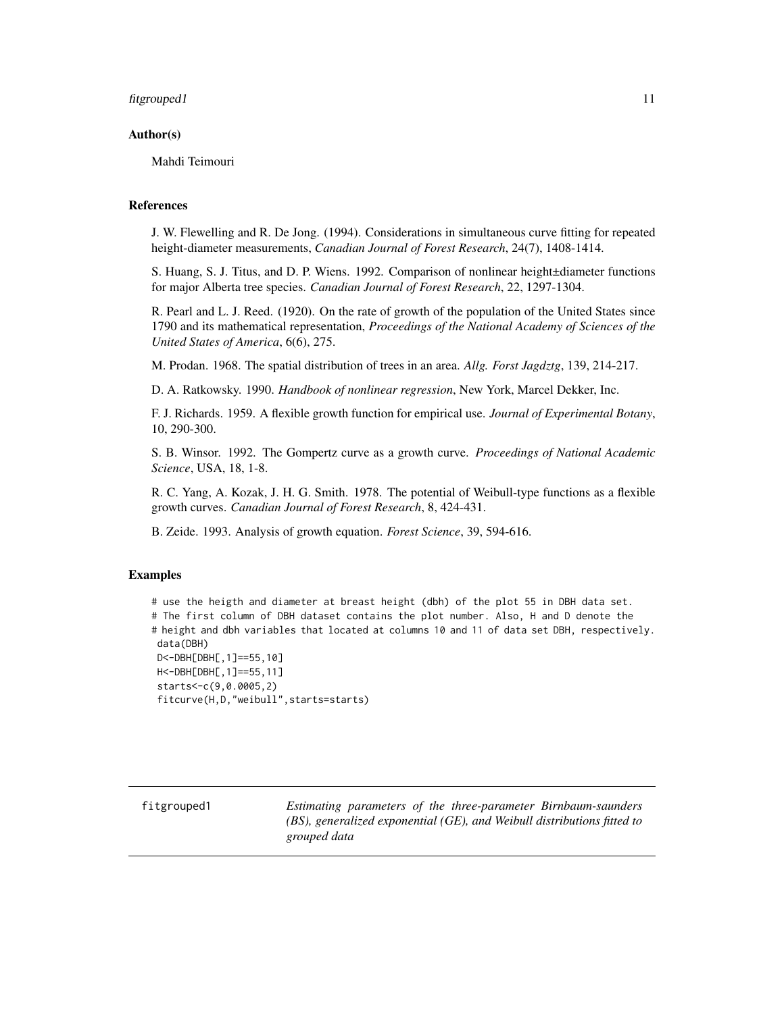#### <span id="page-10-0"></span>fit grouped 1 11

#### Author(s)

Mahdi Teimouri

#### References

J. W. Flewelling and R. De Jong. (1994). Considerations in simultaneous curve fitting for repeated height-diameter measurements, *Canadian Journal of Forest Research*, 24(7), 1408-1414.

S. Huang, S. J. Titus, and D. P. Wiens. 1992. Comparison of nonlinear height±diameter functions for major Alberta tree species. *Canadian Journal of Forest Research*, 22, 1297-1304.

R. Pearl and L. J. Reed. (1920). On the rate of growth of the population of the United States since 1790 and its mathematical representation, *Proceedings of the National Academy of Sciences of the United States of America*, 6(6), 275.

M. Prodan. 1968. The spatial distribution of trees in an area. *Allg. Forst Jagdztg*, 139, 214-217.

D. A. Ratkowsky. 1990. *Handbook of nonlinear regression*, New York, Marcel Dekker, Inc.

F. J. Richards. 1959. A flexible growth function for empirical use. *Journal of Experimental Botany*, 10, 290-300.

S. B. Winsor. 1992. The Gompertz curve as a growth curve. *Proceedings of National Academic Science*, USA, 18, 1-8.

R. C. Yang, A. Kozak, J. H. G. Smith. 1978. The potential of Weibull-type functions as a flexible growth curves. *Canadian Journal of Forest Research*, 8, 424-431.

B. Zeide. 1993. Analysis of growth equation. *Forest Science*, 39, 594-616.

#### Examples

# use the heigth and diameter at breast height (dbh) of the plot 55 in DBH data set. # The first column of DBH dataset contains the plot number. Also, H and D denote the # height and dbh variables that located at columns 10 and 11 of data set DBH, respectively. data(DBH) D<-DBH[DBH[,1]==55,10] H<-DBH[DBH[,1]==55,11] starts<-c(9,0.0005,2) fitcurve(H,D,"weibull",starts=starts)

fitgrouped1 *Estimating parameters of the three-parameter Birnbaum-saunders (BS), generalized exponential (GE), and Weibull distributions fitted to grouped data*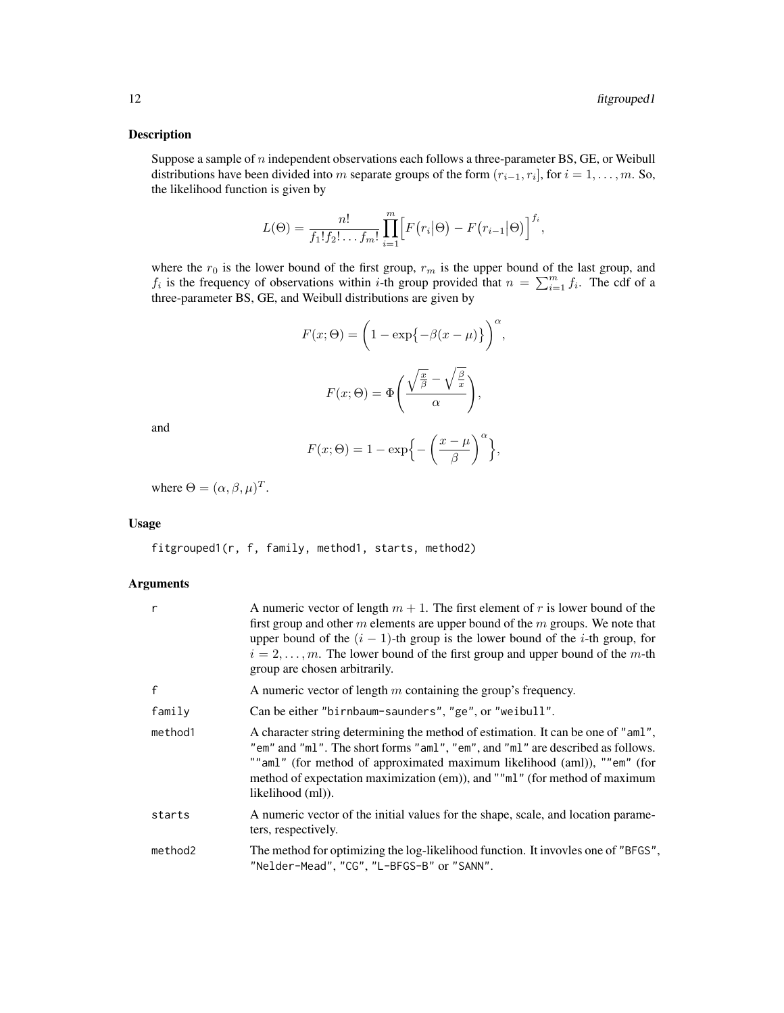#### Description

Suppose a sample of  $n$  independent observations each follows a three-parameter BS, GE, or Weibull distributions have been divided into m separate groups of the form  $(r_{i-1}, r_i]$ , for  $i = 1, \ldots, m$ . So, the likelihood function is given by

$$
L(\Theta) = \frac{n!}{f_1! f_2! \dots f_m!} \prod_{i=1}^m \Big[ F(r_i | \Theta) - F(r_{i-1} | \Theta) \Big]^{f_i},
$$

where the  $r_0$  is the lower bound of the first group,  $r_m$  is the upper bound of the last group, and  $f_i$  is the frequency of observations within *i*-th group provided that  $n = \sum_{i=1}^{m} f_i$ . The cdf of a three-parameter BS, GE, and Weibull distributions are given by

$$
F(x; \Theta) = \left(1 - \exp\{-\beta(x - \mu)\}\right)^{\alpha},
$$

$$
F(x; \Theta) = \Phi\left(\frac{\sqrt{\frac{x}{\beta}} - \sqrt{\frac{\beta}{x}}}{\alpha}\right),
$$

and

$$
F(x; \Theta) = 1 - \exp\left\{-\left(\frac{x-\mu}{\beta}\right)^{\alpha}\right\},\,
$$

where  $\Theta = (\alpha, \beta, \mu)^T$ .

#### Usage

fitgrouped1(r, f, family, method1, starts, method2)

## Arguments

| r       | A numeric vector of length $m + 1$ . The first element of r is lower bound of the<br>first group and other $m$ elements are upper bound of the $m$ groups. We note that<br>upper bound of the $(i - 1)$ -th group is the lower bound of the <i>i</i> -th group, for<br>$i = 2, \ldots, m$ . The lower bound of the first group and upper bound of the m-th<br>group are chosen arbitrarily. |
|---------|---------------------------------------------------------------------------------------------------------------------------------------------------------------------------------------------------------------------------------------------------------------------------------------------------------------------------------------------------------------------------------------------|
| f       | A numeric vector of length $m$ containing the group's frequency.                                                                                                                                                                                                                                                                                                                            |
| family  | Can be either "birnbaum-saunders", "ge", or "weibull".                                                                                                                                                                                                                                                                                                                                      |
| method1 | A character string determining the method of estimation. It can be one of "aml",<br>"em" and "ml". The short forms "aml", "em", and "ml" are described as follows.<br>"" aml" (for method of approximated maximum likelihood (aml)), ""em" (for<br>method of expectation maximization (em)), and ""ml" (for method of maximum<br>likelihood (ml)).                                          |
| starts  | A numeric vector of the initial values for the shape, scale, and location parame-<br>ters, respectively.                                                                                                                                                                                                                                                                                    |
| method2 | The method for optimizing the log-likelihood function. It invoves one of "BFGS",<br>"Nelder-Mead", "CG", "L-BFGS-B" or "SANN".                                                                                                                                                                                                                                                              |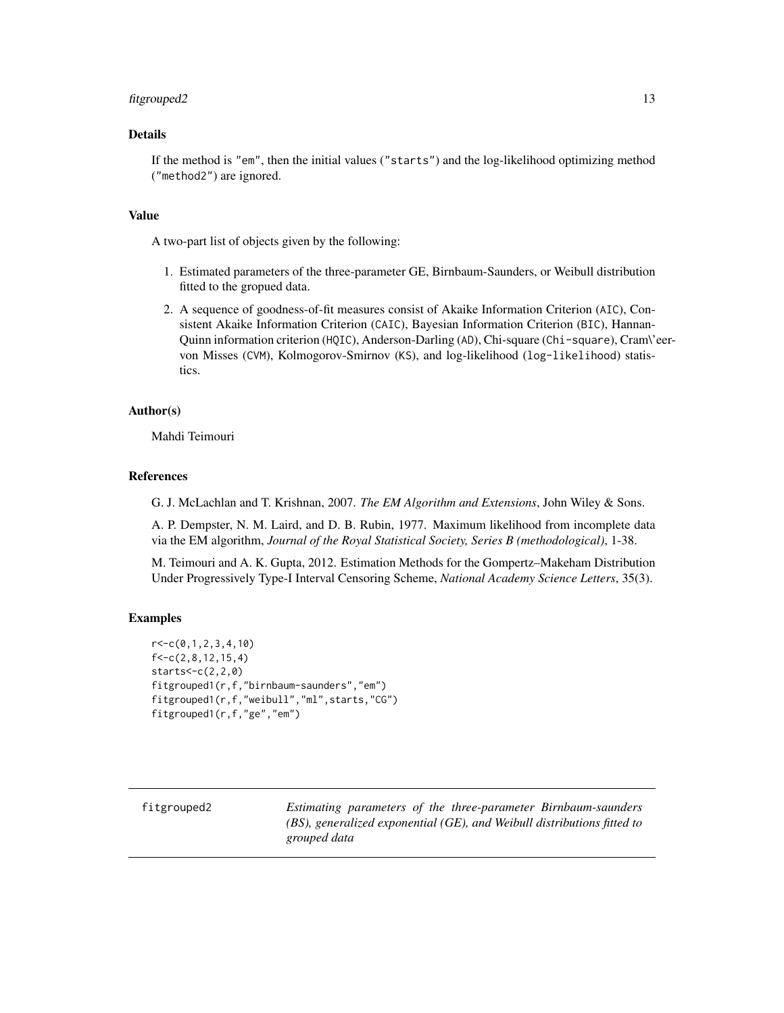#### <span id="page-12-0"></span>fit grouped 2 13

## Details

If the method is "em", then the initial values ("starts") and the log-likelihood optimizing method ("method2") are ignored.

#### Value

A two-part list of objects given by the following:

- 1. Estimated parameters of the three-parameter GE, Birnbaum-Saunders, or Weibull distribution fitted to the gropued data.
- 2. A sequence of goodness-of-fit measures consist of Akaike Information Criterion (AIC), Consistent Akaike Information Criterion (CAIC), Bayesian Information Criterion (BIC), Hannan-Quinn information criterion (HQIC), Anderson-Darling (AD), Chi-square (Chi-square), Cram\'eervon Misses (CVM), Kolmogorov-Smirnov (KS), and log-likelihood (log-likelihood) statistics.

#### Author(s)

Mahdi Teimouri

#### References

G. J. McLachlan and T. Krishnan, 2007. *The EM Algorithm and Extensions*, John Wiley & Sons.

A. P. Dempster, N. M. Laird, and D. B. Rubin, 1977. Maximum likelihood from incomplete data via the EM algorithm, *Journal of the Royal Statistical Society, Series B (methodological)*, 1-38.

M. Teimouri and A. K. Gupta, 2012. Estimation Methods for the Gompertz–Makeham Distribution Under Progressively Type-I Interval Censoring Scheme, *National Academy Science Letters*, 35(3).

## Examples

```
r<-c(0,1,2,3,4,10)
f < -c(2, 8, 12, 15, 4)stars < -c(2, 2, 0)fitgrouped1(r,f,"birnbaum-saunders","em")
fitgrouped1(r,f,"weibull","ml",starts,"CG")
fitgrouped1(r,f,"ge","em")
```
fitgrouped2 *Estimating parameters of the three-parameter Birnbaum-saunders (BS), generalized exponential (GE), and Weibull distributions fitted to grouped data*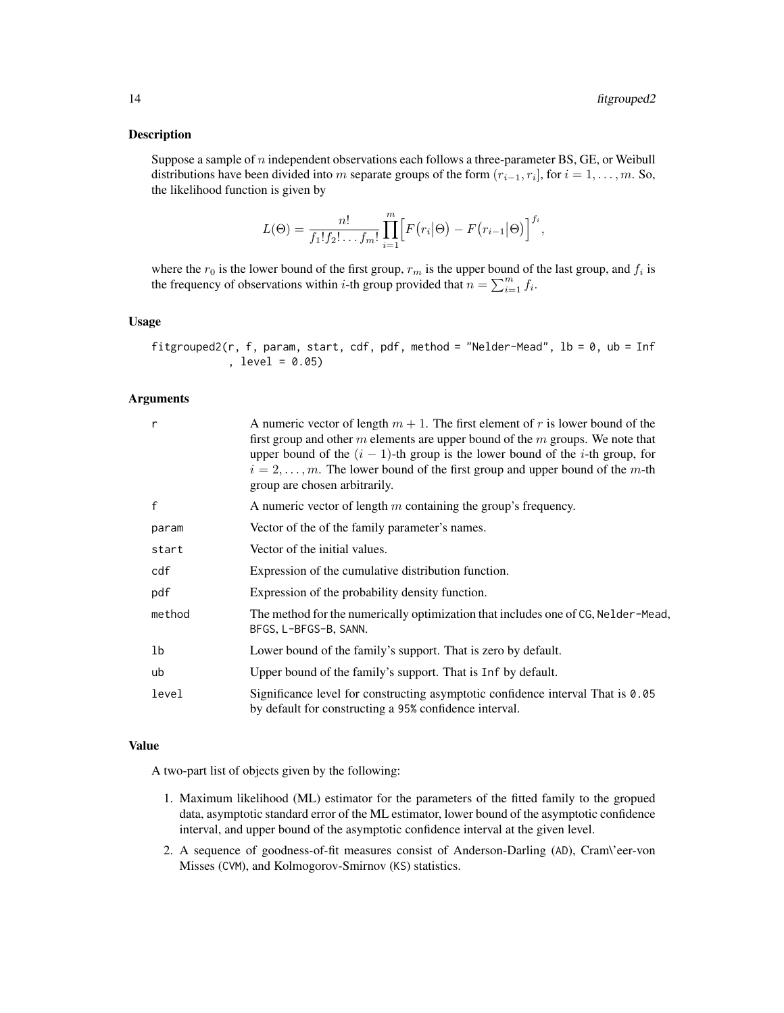#### Description

Suppose a sample of  $n$  independent observations each follows a three-parameter BS, GE, or Weibull distributions have been divided into m separate groups of the form  $(r_{i-1}, r_i]$ , for  $i = 1, \ldots, m$ . So, the likelihood function is given by

$$
L(\Theta) = \frac{n!}{f_1! f_2! \dots f_m!} \prod_{i=1}^m \Big[ F(r_i | \Theta) - F(r_{i-1} | \Theta) \Big]^{f_i},
$$

where the  $r_0$  is the lower bound of the first group,  $r_m$  is the upper bound of the last group, and  $f_i$  is the frequency of observations within *i*-th group provided that  $n = \sum_{i=1}^{m} f_i$ .

#### Usage

fitgrouped2(r, f, param, start, cdf, pdf, method = "Nelder-Mead",  $1b = 0$ ,  $ub = Inf$ , level = 0.05)

#### Arguments

| r            | A numeric vector of length $m + 1$ . The first element of r is lower bound of the<br>first group and other $m$ elements are upper bound of the $m$ groups. We note that<br>upper bound of the $(i - 1)$ -th group is the lower bound of the <i>i</i> -th group, for<br>$i = 2, \ldots, m$ . The lower bound of the first group and upper bound of the m-th<br>group are chosen arbitrarily. |
|--------------|---------------------------------------------------------------------------------------------------------------------------------------------------------------------------------------------------------------------------------------------------------------------------------------------------------------------------------------------------------------------------------------------|
| $\mathsf{f}$ | A numeric vector of length $m$ containing the group's frequency.                                                                                                                                                                                                                                                                                                                            |
| param        | Vector of the of the family parameter's names.                                                                                                                                                                                                                                                                                                                                              |
| start        | Vector of the initial values.                                                                                                                                                                                                                                                                                                                                                               |
| cdf          | Expression of the cumulative distribution function.                                                                                                                                                                                                                                                                                                                                         |
| pdf          | Expression of the probability density function.                                                                                                                                                                                                                                                                                                                                             |
| method       | The method for the numerically optimization that includes one of CG, Nelder-Mead,<br>BFGS, L-BFGS-B, SANN.                                                                                                                                                                                                                                                                                  |
| 1b           | Lower bound of the family's support. That is zero by default.                                                                                                                                                                                                                                                                                                                               |
| ub           | Upper bound of the family's support. That is Inf by default.                                                                                                                                                                                                                                                                                                                                |
| level        | Significance level for constructing asymptotic confidence interval That is 0.05<br>by default for constructing a 95% confidence interval.                                                                                                                                                                                                                                                   |

#### Value

A two-part list of objects given by the following:

- 1. Maximum likelihood (ML) estimator for the parameters of the fitted family to the gropued data, asymptotic standard error of the ML estimator, lower bound of the asymptotic confidence interval, and upper bound of the asymptotic confidence interval at the given level.
- 2. A sequence of goodness-of-fit measures consist of Anderson-Darling (AD), Cram\'eer-von Misses (CVM), and Kolmogorov-Smirnov (KS) statistics.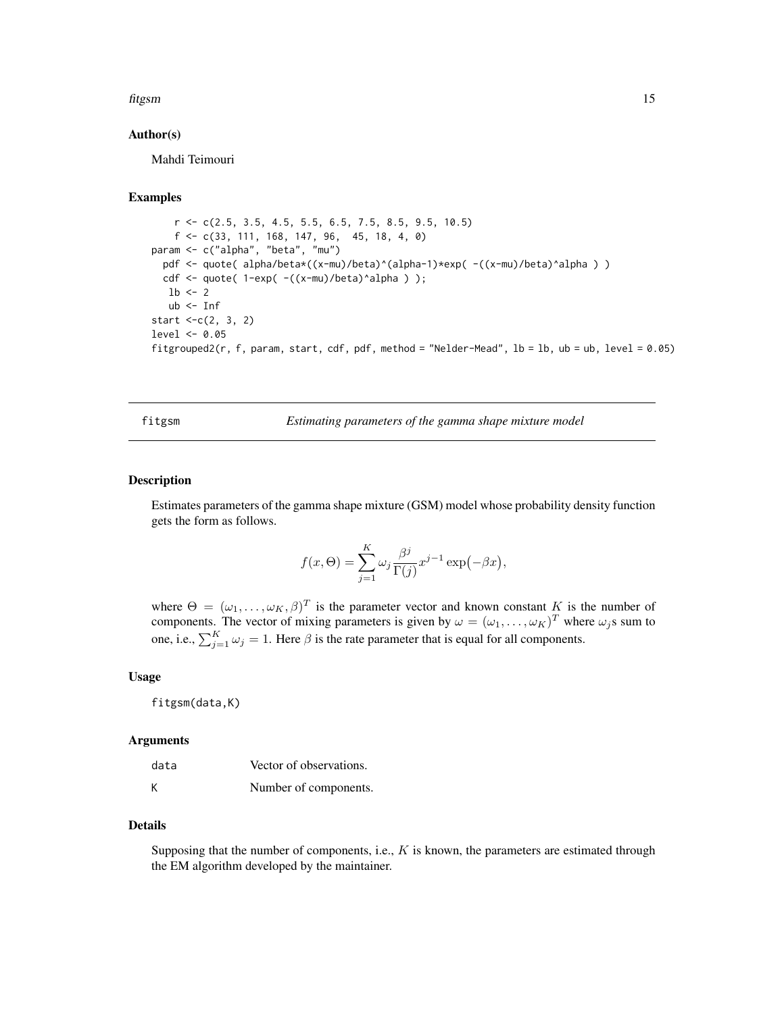#### <span id="page-14-0"></span>fitgsm 15

#### Author(s)

Mahdi Teimouri

## Examples

```
r \leq c(2.5, 3.5, 4.5, 5.5, 6.5, 7.5, 8.5, 9.5, 10.5)f <- c(33, 111, 168, 147, 96, 45, 18, 4, 0)
param <- c("alpha", "beta", "mu")
 pdf <- quote( alpha/beta*((x-mu)/beta)^(alpha-1)*exp( -((x-mu)/beta)^alpha ) )
 cdf <- quote( 1-exp( -((x-mu)/beta)^alpha ) );
  1b \leq -2ub <- Inf
start <-c(2, 3, 2)level <- 0.05
fitgrouped2(r, f, param, start, cdf, pdf, method = "Nelder-Mead", lb = lb, ub = ub, level = 0.05)
```
fitgsm *Estimating parameters of the gamma shape mixture model*

#### **Description**

Estimates parameters of the gamma shape mixture (GSM) model whose probability density function gets the form as follows.

$$
f(x,\Theta) = \sum_{j=1}^{K} \omega_j \frac{\beta^j}{\Gamma(j)} x^{j-1} \exp(-\beta x),
$$

where  $\Theta = (\omega_1, \dots, \omega_K, \beta)^T$  is the parameter vector and known constant K is the number of components. The vector of mixing parameters is given by  $\omega = (\omega_1, \dots, \omega_K)^T$  where  $\omega_j$ s sum to one, i.e.,  $\sum_{j=1}^{K} \omega_j = 1$ . Here  $\beta$  is the rate parameter that is equal for all components.

#### Usage

fitgsm(data,K)

#### Arguments

| data | Vector of observations. |
|------|-------------------------|
| К    | Number of components.   |

#### Details

Supposing that the number of components, i.e.,  $K$  is known, the parameters are estimated through the EM algorithm developed by the maintainer.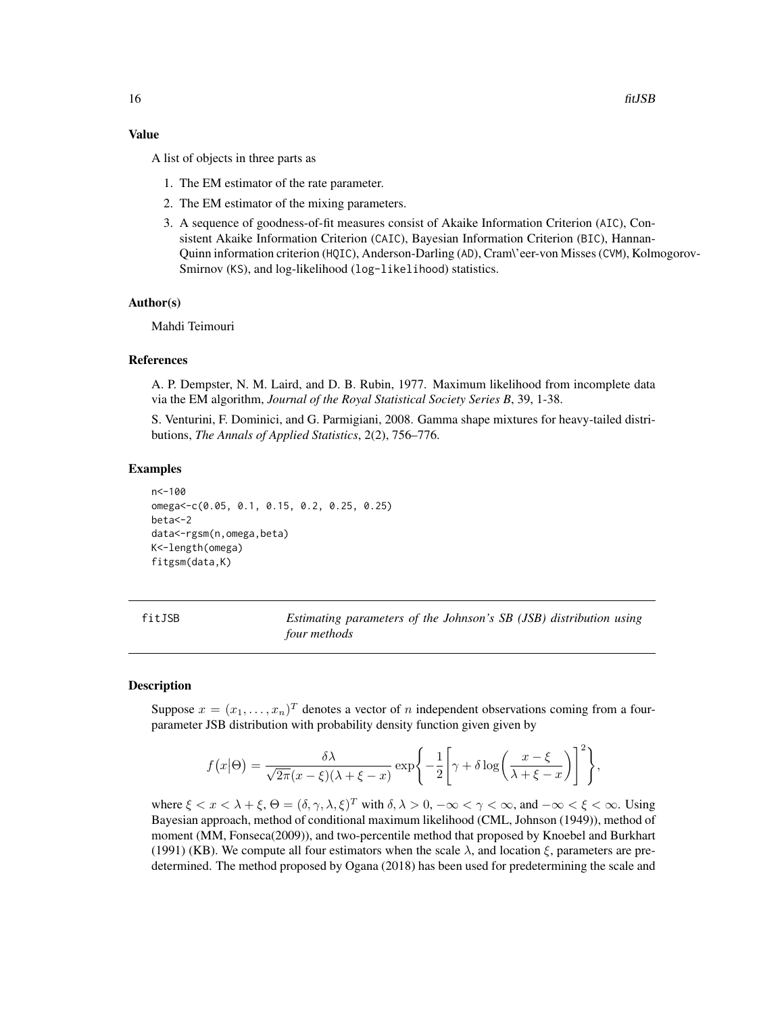#### <span id="page-15-0"></span>Value

A list of objects in three parts as

- 1. The EM estimator of the rate parameter.
- 2. The EM estimator of the mixing parameters.
- 3. A sequence of goodness-of-fit measures consist of Akaike Information Criterion (AIC), Consistent Akaike Information Criterion (CAIC), Bayesian Information Criterion (BIC), Hannan-Quinn information criterion (HQIC), Anderson-Darling (AD), Cram\'eer-von Misses (CVM), Kolmogorov-Smirnov (KS), and log-likelihood (log-likelihood) statistics.

#### Author(s)

Mahdi Teimouri

#### References

A. P. Dempster, N. M. Laird, and D. B. Rubin, 1977. Maximum likelihood from incomplete data via the EM algorithm, *Journal of the Royal Statistical Society Series B*, 39, 1-38.

S. Venturini, F. Dominici, and G. Parmigiani, 2008. Gamma shape mixtures for heavy-tailed distributions, *The Annals of Applied Statistics*, 2(2), 756–776.

#### Examples

```
n<-100
omega<-c(0.05, 0.1, 0.15, 0.2, 0.25, 0.25)
beta<-2
data<-rgsm(n,omega,beta)
K<-length(omega)
fitgsm(data,K)
```

| fitJSB | Estimating parameters of the Johnson's SB (JSB) distribution using |  |  |
|--------|--------------------------------------------------------------------|--|--|
|        | four methods                                                       |  |  |

## **Description**

Suppose  $x = (x_1, \ldots, x_n)^T$  denotes a vector of n independent observations coming from a fourparameter JSB distribution with probability density function given given by

$$
f(x|\Theta) = \frac{\delta \lambda}{\sqrt{2\pi}(x-\xi)(\lambda+\xi-x)} \exp\left\{-\frac{1}{2}\left[\gamma+\delta\log\left(\frac{x-\xi}{\lambda+\xi-x}\right)\right]^2\right\},\,
$$

where  $\xi < x < \lambda + \xi$ ,  $\Theta = (\delta, \gamma, \lambda, \xi)^T$  with  $\delta, \lambda > 0$ ,  $-\infty < \gamma < \infty$ , and  $-\infty < \xi < \infty$ . Using Bayesian approach, method of conditional maximum likelihood (CML, Johnson (1949)), method of moment (MM, Fonseca(2009)), and two-percentile method that proposed by Knoebel and Burkhart (1991) (KB). We compute all four estimators when the scale  $\lambda$ , and location  $\xi$ , parameters are predetermined. The method proposed by Ogana (2018) has been used for predetermining the scale and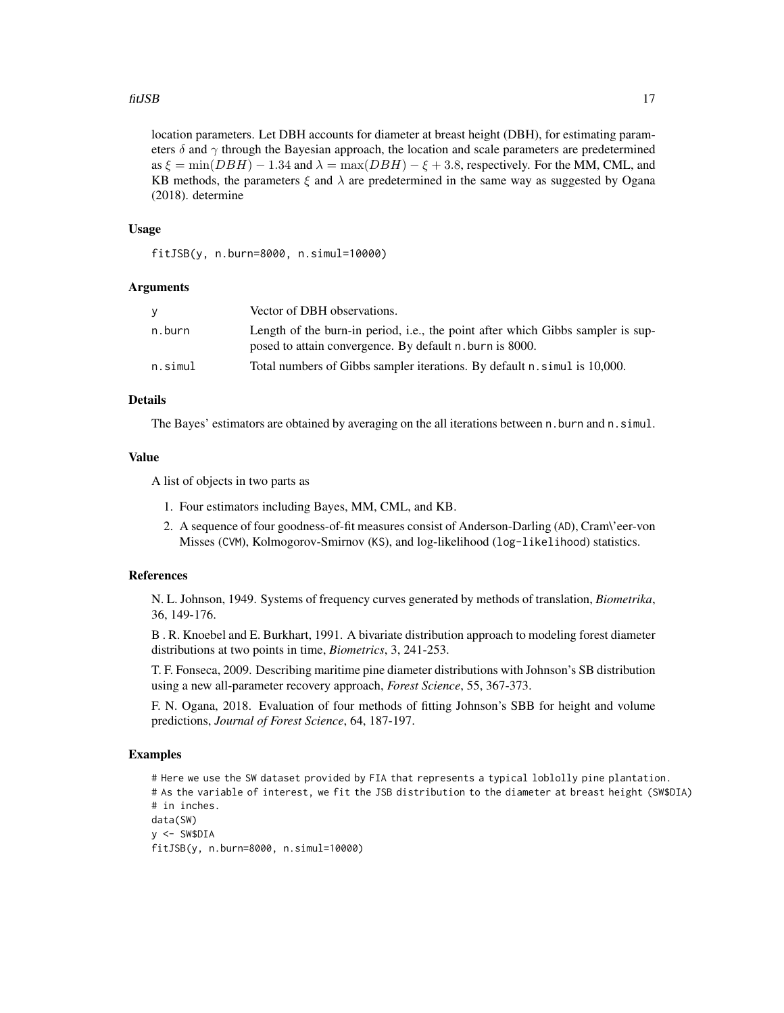#### fitJSB 17

location parameters. Let DBH accounts for diameter at breast height (DBH), for estimating parameters  $\delta$  and  $\gamma$  through the Bayesian approach, the location and scale parameters are predetermined as  $\xi = \min(DBH) - 1.34$  and  $\lambda = \max(DBH) - \xi + 3.8$ , respectively. For the MM, CML, and KB methods, the parameters  $\xi$  and  $\lambda$  are predetermined in the same way as suggested by Ogana (2018). determine

#### Usage

fitJSB(y, n.burn=8000, n.simul=10000)

#### Arguments

| v       | Vector of DBH observations.                                                                                                                 |
|---------|---------------------------------------------------------------------------------------------------------------------------------------------|
| n.burn  | Length of the burn-in period, i.e., the point after which Gibbs sampler is sup-<br>posed to attain convergence. By default n. burn is 8000. |
| n.simul | Total numbers of Gibbs sampler iterations. By default n. simul is 10,000.                                                                   |

## Details

The Bayes' estimators are obtained by averaging on the all iterations between n.burn and n.simul.

## Value

A list of objects in two parts as

- 1. Four estimators including Bayes, MM, CML, and KB.
- 2. A sequence of four goodness-of-fit measures consist of Anderson-Darling (AD), Cram\'eer-von Misses (CVM), Kolmogorov-Smirnov (KS), and log-likelihood (log-likelihood) statistics.

## References

N. L. Johnson, 1949. Systems of frequency curves generated by methods of translation, *Biometrika*, 36, 149-176.

B . R. Knoebel and E. Burkhart, 1991. A bivariate distribution approach to modeling forest diameter distributions at two points in time, *Biometrics*, 3, 241-253.

T. F. Fonseca, 2009. Describing maritime pine diameter distributions with Johnson's SB distribution using a new all-parameter recovery approach, *Forest Science*, 55, 367-373.

F. N. Ogana, 2018. Evaluation of four methods of fitting Johnson's SBB for height and volume predictions, *Journal of Forest Science*, 64, 187-197.

## Examples

```
# Here we use the SW dataset provided by FIA that represents a typical loblolly pine plantation.
# As the variable of interest, we fit the JSB distribution to the diameter at breast height (SW$DIA)
# in inches.
data(SW)
y \le - SW$DIA
fitJSB(y, n.burn=8000, n.simul=10000)
```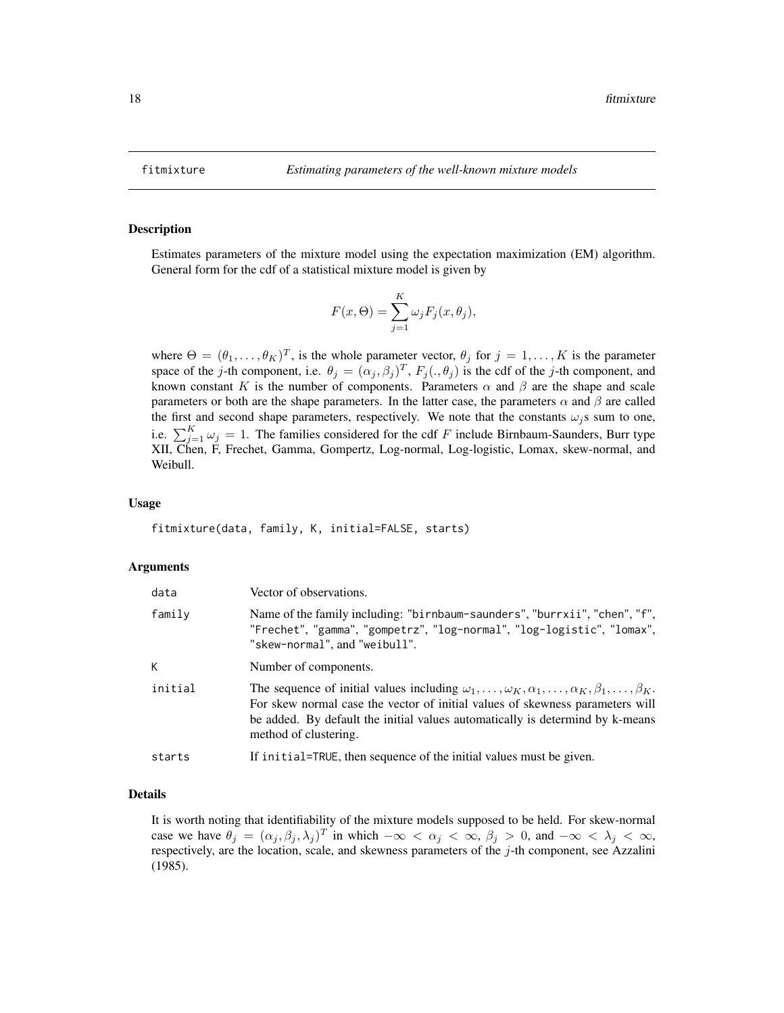<span id="page-17-0"></span>

#### Description

Estimates parameters of the mixture model using the expectation maximization (EM) algorithm. General form for the cdf of a statistical mixture model is given by

$$
F(x, \Theta) = \sum_{j=1}^{K} \omega_j F_j(x, \theta_j),
$$

where  $\Theta = (\theta_1, \dots, \theta_K)^T$ , is the whole parameter vector,  $\theta_j$  for  $j = 1, \dots, K$  is the parameter space of the j-th component, i.e.  $\theta_j = (\alpha_j, \beta_j)^T$ ,  $F_j(., \theta_j)$  is the cdf of the j-th component, and known constant K is the number of components. Parameters  $\alpha$  and  $\beta$  are the shape and scale parameters or both are the shape parameters. In the latter case, the parameters  $\alpha$  and  $\beta$  are called the first and second shape parameters, respectively. We note that the constants  $\omega_i$ s sum to one, i.e.  $\sum_{j=1}^{K} \omega_j = 1$ . The families considered for the cdf F include Birnbaum-Saunders, Burr type XII, Chen, F, Frechet, Gamma, Gompertz, Log-normal, Log-logistic, Lomax, skew-normal, and Weibull.

#### Usage

fitmixture(data, family, K, initial=FALSE, starts)

#### Arguments

| data    | Vector of observations.                                                                                                                                                                                                                                                                                                  |
|---------|--------------------------------------------------------------------------------------------------------------------------------------------------------------------------------------------------------------------------------------------------------------------------------------------------------------------------|
| family  | Name of the family including: "birnbaum-saunders", "burrxii", "chen", "f",<br>"Frechet", "gamma", "gompetrz", "log-normal", "log-logistic", "lomax",<br>"skew-normal", and "weibull".                                                                                                                                    |
| K       | Number of components.                                                                                                                                                                                                                                                                                                    |
| initial | The sequence of initial values including $\omega_1, \ldots, \omega_K, \alpha_1, \ldots, \alpha_K, \beta_1, \ldots, \beta_K$ .<br>For skew normal case the vector of initial values of skewness parameters will<br>be added. By default the initial values automatically is determind by k-means<br>method of clustering. |
| starts  | If initial=TRUE, then sequence of the initial values must be given.                                                                                                                                                                                                                                                      |

## Details

It is worth noting that identifiability of the mixture models supposed to be held. For skew-normal case we have  $\theta_j = (\alpha_j, \beta_j, \lambda_j)^T$  in which  $-\infty < \alpha_j < \infty$ ,  $\beta_j > 0$ , and  $-\infty < \lambda_j < \infty$ , respectively, are the location, scale, and skewness parameters of the  $j$ -th component, see Azzalini (1985).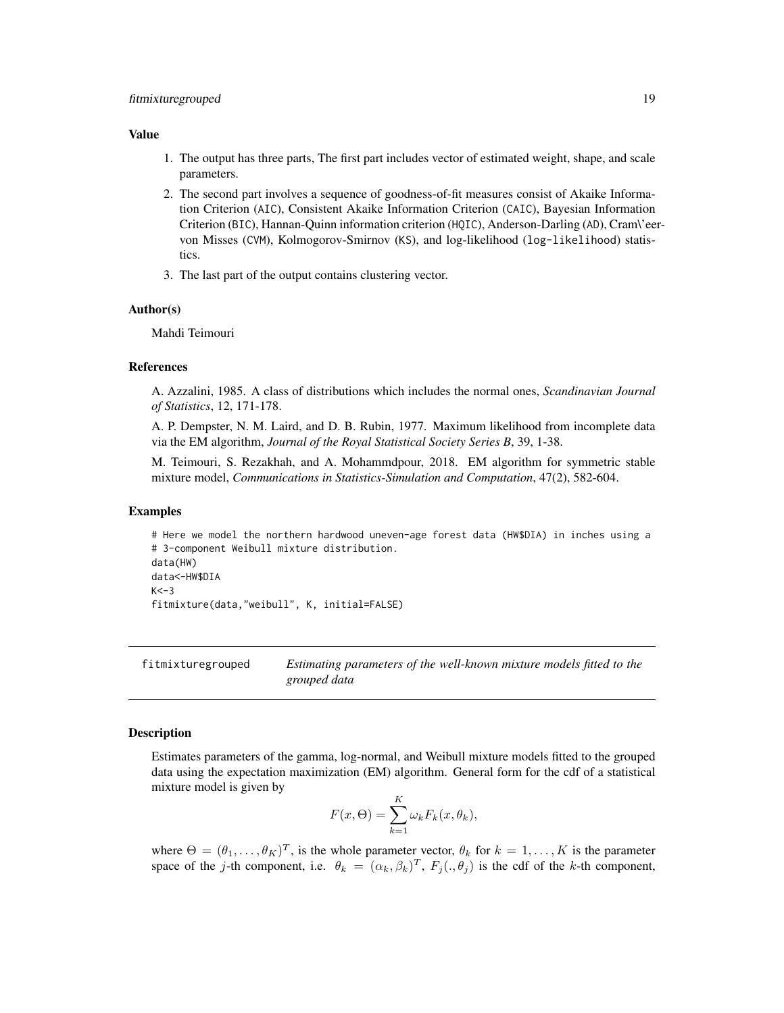#### <span id="page-18-0"></span>Value

- 1. The output has three parts, The first part includes vector of estimated weight, shape, and scale parameters.
- 2. The second part involves a sequence of goodness-of-fit measures consist of Akaike Information Criterion (AIC), Consistent Akaike Information Criterion (CAIC), Bayesian Information Criterion (BIC), Hannan-Quinn information criterion (HQIC), Anderson-Darling (AD), Cram\'eervon Misses (CVM), Kolmogorov-Smirnov (KS), and log-likelihood (log-likelihood) statistics.
- 3. The last part of the output contains clustering vector.

#### Author(s)

Mahdi Teimouri

#### References

A. Azzalini, 1985. A class of distributions which includes the normal ones, *Scandinavian Journal of Statistics*, 12, 171-178.

A. P. Dempster, N. M. Laird, and D. B. Rubin, 1977. Maximum likelihood from incomplete data via the EM algorithm, *Journal of the Royal Statistical Society Series B*, 39, 1-38.

M. Teimouri, S. Rezakhah, and A. Mohammdpour, 2018. EM algorithm for symmetric stable mixture model, *Communications in Statistics-Simulation and Computation*, 47(2), 582-604.

#### Examples

# Here we model the northern hardwood uneven-age forest data (HW\$DIA) in inches using a # 3-component Weibull mixture distribution. data(HW) data<-HW\$DIA  $K < -3$ fitmixture(data,"weibull", K, initial=FALSE)

fitmixturegrouped *Estimating parameters of the well-known mixture models fitted to the grouped data*

#### Description

Estimates parameters of the gamma, log-normal, and Weibull mixture models fitted to the grouped data using the expectation maximization (EM) algorithm. General form for the cdf of a statistical mixture model is given by

$$
F(x,\Theta) = \sum_{k=1}^{K} \omega_k F_k(x,\theta_k),
$$

where  $\Theta = (\theta_1, \dots, \theta_K)^T$ , is the whole parameter vector,  $\theta_k$  for  $k = 1, \dots, K$  is the parameter space of the j-th component, i.e.  $\theta_k = (\alpha_k, \beta_k)^T$ ,  $F_j(., \theta_j)$  is the cdf of the k-th component,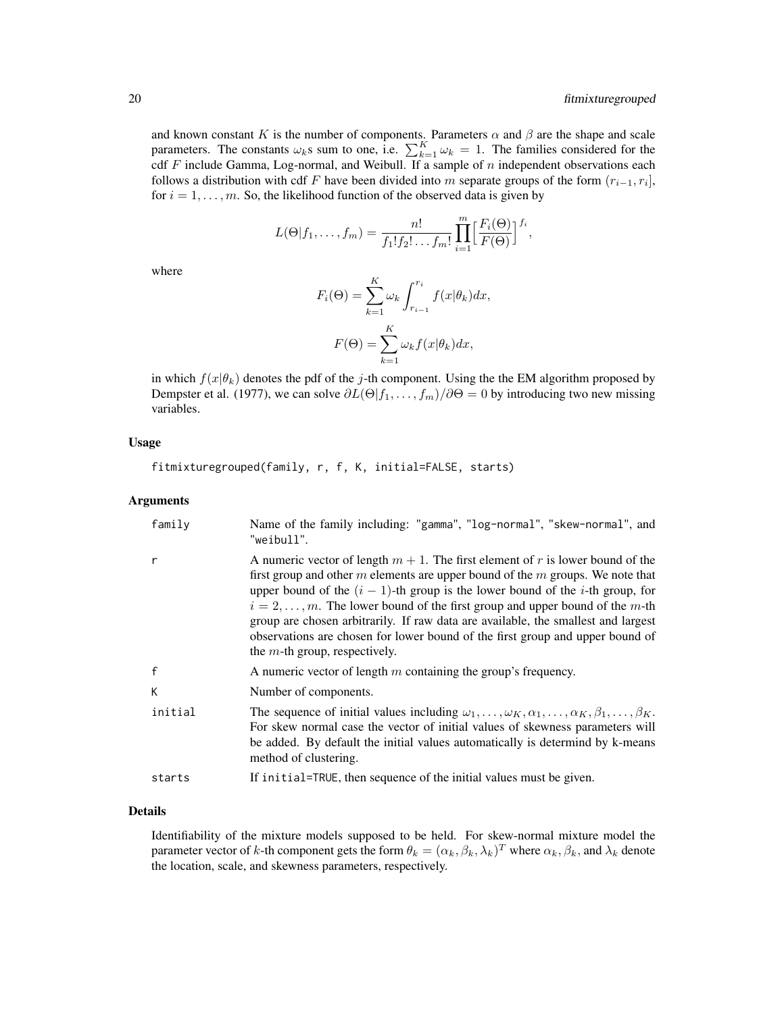and known constant K is the number of components. Parameters  $\alpha$  and  $\beta$  are the shape and scale parameters. The constants  $\omega_k$ s sum to one, i.e.  $\sum_{k=1}^K \omega_k = 1$ . The families considered for the cdf F include Gamma, Log-normal, and Weibull. If a sample of n independent observations each follows a distribution with cdf F have been divided into m separate groups of the form  $(r_{i-1}, r_i]$ , for  $i = 1, \ldots, m$ . So, the likelihood function of the observed data is given by

$$
L(\Theta|f_1,\ldots,f_m)=\frac{n!}{f_1!f_2!\ldots f_m!}\prod_{i=1}^m\Bigl[\frac{F_i(\Theta)}{F(\Theta)}\Bigr]^{f_i},
$$

where

$$
F_i(\Theta) = \sum_{k=1}^K \omega_k \int_{r_{i-1}}^{r_i} f(x|\theta_k) dx,
$$

$$
F(\Theta) = \sum_{k=1}^K \omega_k f(x|\theta_k) dx,
$$

in which  $f(x|\theta_k)$  denotes the pdf of the j-th component. Using the the EM algorithm proposed by Dempster et al. (1977), we can solve  $\partial L(\Theta | f_1, \dots, f_m) / \partial \Theta = 0$  by introducing two new missing variables.

## Usage

fitmixturegrouped(family, r, f, K, initial=FALSE, starts)

#### Arguments

| family       | Name of the family including: "gamma", "log-normal", "skew-normal", and<br>"weibull".                                                                                                                                                                                                                                                                                                                                                                                                                                                                                |
|--------------|----------------------------------------------------------------------------------------------------------------------------------------------------------------------------------------------------------------------------------------------------------------------------------------------------------------------------------------------------------------------------------------------------------------------------------------------------------------------------------------------------------------------------------------------------------------------|
| r            | A numeric vector of length $m + 1$ . The first element of r is lower bound of the<br>first group and other $m$ elements are upper bound of the $m$ groups. We note that<br>upper bound of the $(i - 1)$ -th group is the lower bound of the <i>i</i> -th group, for<br>$i = 2, \ldots, m$ . The lower bound of the first group and upper bound of the m-th<br>group are chosen arbitrarily. If raw data are available, the smallest and largest<br>observations are chosen for lower bound of the first group and upper bound of<br>the $m$ -th group, respectively. |
| $\mathsf{f}$ | A numeric vector of length $m$ containing the group's frequency.                                                                                                                                                                                                                                                                                                                                                                                                                                                                                                     |
| К            | Number of components.                                                                                                                                                                                                                                                                                                                                                                                                                                                                                                                                                |
| initial      | The sequence of initial values including $\omega_1, \ldots, \omega_K, \alpha_1, \ldots, \alpha_K, \beta_1, \ldots, \beta_K$ .<br>For skew normal case the vector of initial values of skewness parameters will<br>be added. By default the initial values automatically is determind by k-means<br>method of clustering.                                                                                                                                                                                                                                             |
| starts       | If initial=TRUE, then sequence of the initial values must be given.                                                                                                                                                                                                                                                                                                                                                                                                                                                                                                  |

## Details

Identifiability of the mixture models supposed to be held. For skew-normal mixture model the parameter vector of k-th component gets the form  $\theta_k = (\alpha_k, \beta_k, \lambda_k)^T$  where  $\alpha_k, \beta_k$ , and  $\lambda_k$  denote the location, scale, and skewness parameters, respectively.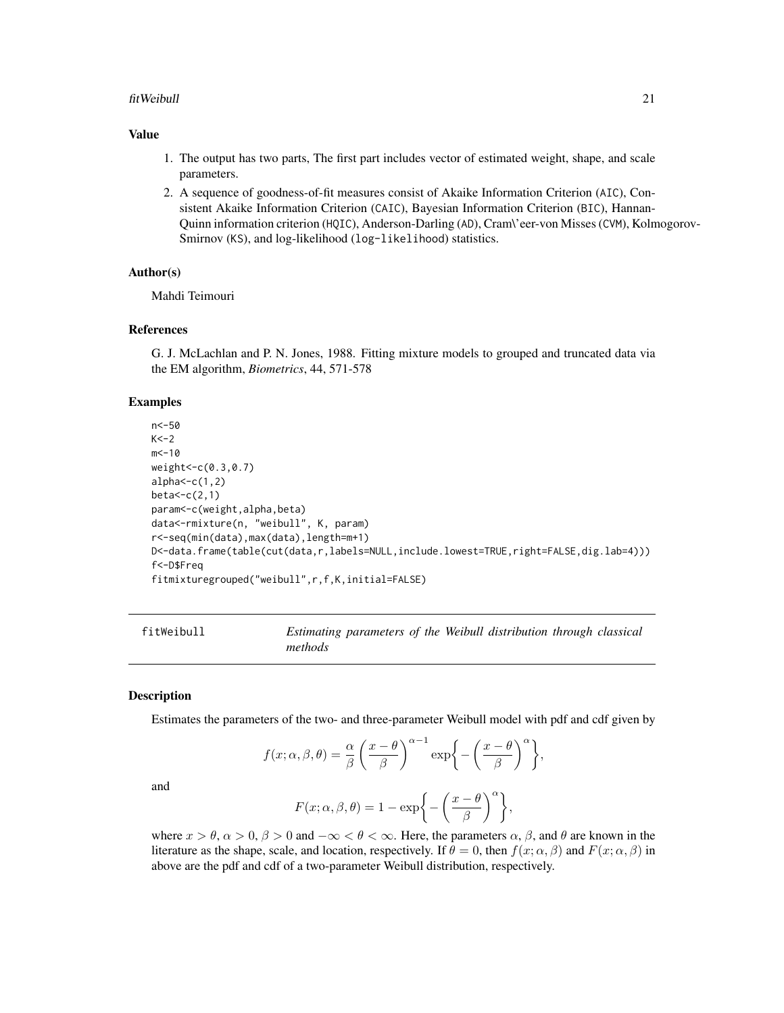#### <span id="page-20-0"></span>fitWeibull 21

#### Value

- 1. The output has two parts, The first part includes vector of estimated weight, shape, and scale parameters.
- 2. A sequence of goodness-of-fit measures consist of Akaike Information Criterion (AIC), Consistent Akaike Information Criterion (CAIC), Bayesian Information Criterion (BIC), Hannan-Quinn information criterion (HQIC), Anderson-Darling (AD), Cram\'eer-von Misses (CVM), Kolmogorov-Smirnov (KS), and log-likelihood (log-likelihood) statistics.

#### Author(s)

Mahdi Teimouri

#### References

G. J. McLachlan and P. N. Jones, 1988. Fitting mixture models to grouped and truncated data via the EM algorithm, *Biometrics*, 44, 571-578

#### Examples

```
n<-50
K < -2m < -10weight<-c(0.3,0.7)
alpha < -c(1,2)beta < -c(2,1)param<-c(weight,alpha,beta)
data<-rmixture(n, "weibull", K, param)
r<-seq(min(data),max(data),length=m+1)
D<-data.frame(table(cut(data,r,labels=NULL,include.lowest=TRUE,right=FALSE,dig.lab=4)))
f<-D$Freq
fitmixturegrouped("weibull",r,f,K,initial=FALSE)
```

| fitWeibull |         |  |  | Estimating parameters of the Weibull distribution through classical |  |
|------------|---------|--|--|---------------------------------------------------------------------|--|
|            | methods |  |  |                                                                     |  |

#### Description

Estimates the parameters of the two- and three-parameter Weibull model with pdf and cdf given by

$$
f(x; \alpha, \beta, \theta) = \frac{\alpha}{\beta} \left( \frac{x - \theta}{\beta} \right)^{\alpha - 1} \exp \left\{ - \left( \frac{x - \theta}{\beta} \right)^{\alpha} \right\},\
$$

and

$$
F(x; \alpha, \beta, \theta) = 1 - \exp\biggl\{-\biggl(\frac{x-\theta}{\beta}\biggr)^{\alpha}\biggr\},\
$$

where  $x > \theta$ ,  $\alpha > 0$ ,  $\beta > 0$  and  $-\infty < \theta < \infty$ . Here, the parameters  $\alpha$ ,  $\beta$ , and  $\theta$  are known in the literature as the shape, scale, and location, respectively. If  $\theta = 0$ , then  $f(x; \alpha, \beta)$  and  $F(x; \alpha, \beta)$  in above are the pdf and cdf of a two-parameter Weibull distribution, respectively.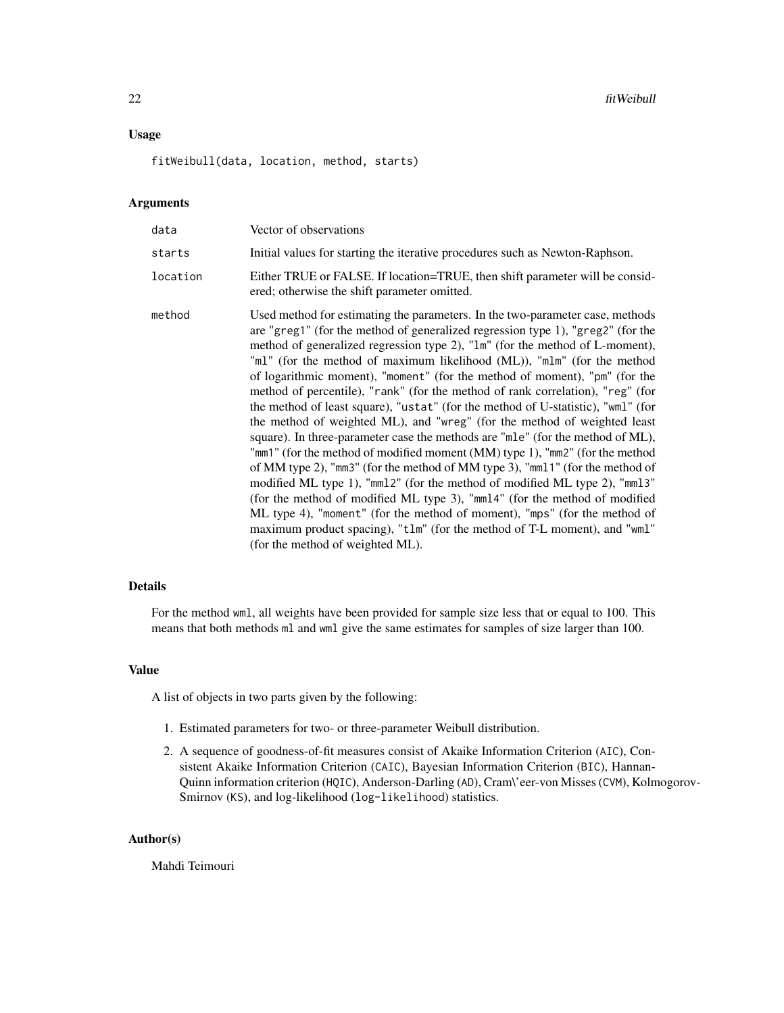## Usage

fitWeibull(data, location, method, starts)

## Arguments

| data     | Vector of observations                                                                                                                                                                                                                                                                                                                                                                                                                                                                                                                                                                                                                                                                                                                                                                                                                                                                                                                                                                                                                                                                                                                                                                                                                                                   |
|----------|--------------------------------------------------------------------------------------------------------------------------------------------------------------------------------------------------------------------------------------------------------------------------------------------------------------------------------------------------------------------------------------------------------------------------------------------------------------------------------------------------------------------------------------------------------------------------------------------------------------------------------------------------------------------------------------------------------------------------------------------------------------------------------------------------------------------------------------------------------------------------------------------------------------------------------------------------------------------------------------------------------------------------------------------------------------------------------------------------------------------------------------------------------------------------------------------------------------------------------------------------------------------------|
| starts   | Initial values for starting the iterative procedures such as Newton-Raphson.                                                                                                                                                                                                                                                                                                                                                                                                                                                                                                                                                                                                                                                                                                                                                                                                                                                                                                                                                                                                                                                                                                                                                                                             |
| location | Either TRUE or FALSE. If location=TRUE, then shift parameter will be consid-<br>ered; otherwise the shift parameter omitted.                                                                                                                                                                                                                                                                                                                                                                                                                                                                                                                                                                                                                                                                                                                                                                                                                                                                                                                                                                                                                                                                                                                                             |
| method   | Used method for estimating the parameters. In the two-parameter case, methods<br>are "greg1" (for the method of generalized regression type 1), "greg2" (for the<br>method of generalized regression type 2), "1m" (for the method of L-moment),<br>"ml" (for the method of maximum likelihood (ML)), "mlm" (for the method<br>of logarithmic moment), "moment" (for the method of moment), "pm" (for the<br>method of percentile), "rank" (for the method of rank correlation), "reg" (for<br>the method of least square), "ustat" (for the method of U-statistic), "wml" (for<br>the method of weighted ML), and "wreg" (for the method of weighted least<br>square). In three-parameter case the methods are "mle" (for the method of ML),<br>"mm1" (for the method of modified moment (MM) type 1), "mm2" (for the method<br>of MM type 2), "mm3" (for the method of MM type 3), "mm11" (for the method of<br>modified ML type 1), "mm12" (for the method of modified ML type 2), "mm13"<br>(for the method of modified ML type 3), "mm14" (for the method of modified<br>ML type 4), "moment" (for the method of moment), "mps" (for the method of<br>maximum product spacing), "t1m" (for the method of T-L moment), and "wm1"<br>(for the method of weighted ML). |

#### Details

For the method wml, all weights have been provided for sample size less that or equal to 100. This means that both methods ml and wml give the same estimates for samples of size larger than 100.

## Value

A list of objects in two parts given by the following:

- 1. Estimated parameters for two- or three-parameter Weibull distribution.
- 2. A sequence of goodness-of-fit measures consist of Akaike Information Criterion (AIC), Consistent Akaike Information Criterion (CAIC), Bayesian Information Criterion (BIC), Hannan-Quinn information criterion (HQIC), Anderson-Darling (AD), Cram\'eer-von Misses (CVM), Kolmogorov-Smirnov (KS), and log-likelihood (log-likelihood) statistics.

#### Author(s)

Mahdi Teimouri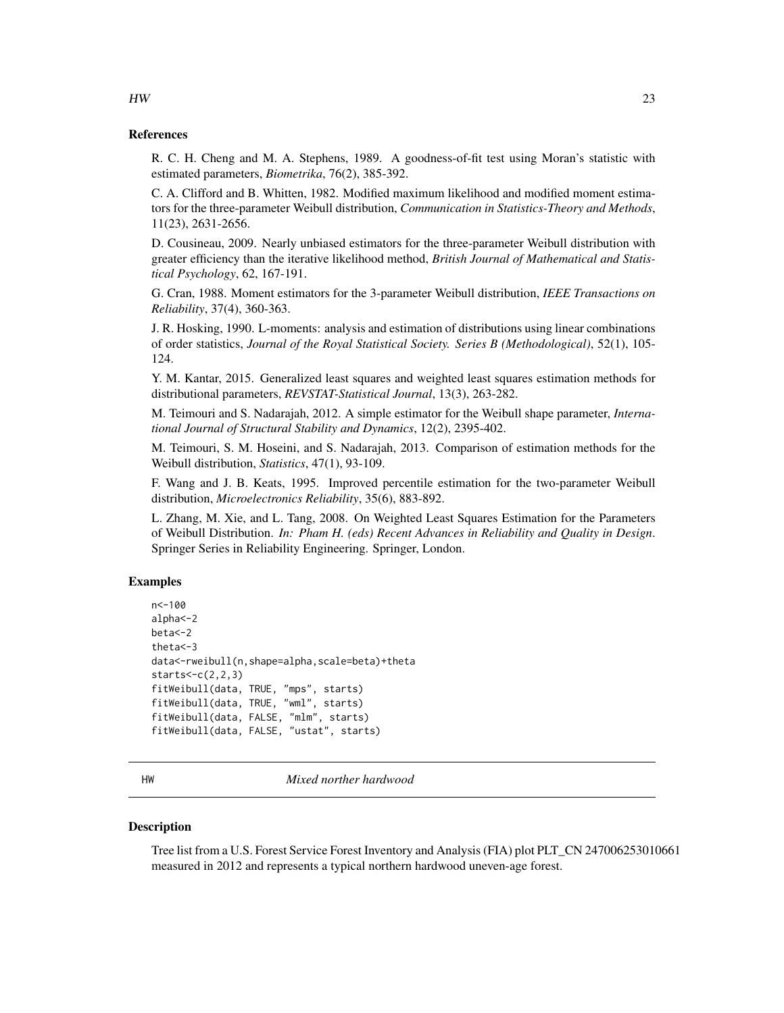## References

R. C. H. Cheng and M. A. Stephens, 1989. A goodness-of-fit test using Moran's statistic with estimated parameters, *Biometrika*, 76(2), 385-392.

C. A. Clifford and B. Whitten, 1982. Modified maximum likelihood and modified moment estimators for the three-parameter Weibull distribution, *Communication in Statistics-Theory and Methods*, 11(23), 2631-2656.

D. Cousineau, 2009. Nearly unbiased estimators for the three-parameter Weibull distribution with greater efficiency than the iterative likelihood method, *British Journal of Mathematical and Statistical Psychology*, 62, 167-191.

G. Cran, 1988. Moment estimators for the 3-parameter Weibull distribution, *IEEE Transactions on Reliability*, 37(4), 360-363.

J. R. Hosking, 1990. L-moments: analysis and estimation of distributions using linear combinations of order statistics, *Journal of the Royal Statistical Society. Series B (Methodological)*, 52(1), 105- 124.

Y. M. Kantar, 2015. Generalized least squares and weighted least squares estimation methods for distributional parameters, *REVSTAT-Statistical Journal*, 13(3), 263-282.

M. Teimouri and S. Nadarajah, 2012. A simple estimator for the Weibull shape parameter, *International Journal of Structural Stability and Dynamics*, 12(2), 2395-402.

M. Teimouri, S. M. Hoseini, and S. Nadarajah, 2013. Comparison of estimation methods for the Weibull distribution, *Statistics*, 47(1), 93-109.

F. Wang and J. B. Keats, 1995. Improved percentile estimation for the two-parameter Weibull distribution, *Microelectronics Reliability*, 35(6), 883-892.

L. Zhang, M. Xie, and L. Tang, 2008. On Weighted Least Squares Estimation for the Parameters of Weibull Distribution. *In: Pham H. (eds) Recent Advances in Reliability and Quality in Design*. Springer Series in Reliability Engineering. Springer, London.

#### Examples

```
n<-100
alpha<-2
beta<-2
theta<-3
data<-rweibull(n,shape=alpha,scale=beta)+theta
starts < -c(2,2,3)fitWeibull(data, TRUE, "mps", starts)
fitWeibull(data, TRUE, "wml", starts)
fitWeibull(data, FALSE, "mlm", starts)
fitWeibull(data, FALSE, "ustat", starts)
```
HW *Mixed norther hardwood*

#### **Description**

Tree list from a U.S. Forest Service Forest Inventory and Analysis (FIA) plot PLT\_CN 247006253010661 measured in 2012 and represents a typical northern hardwood uneven-age forest.

## <span id="page-22-0"></span> $HW$  23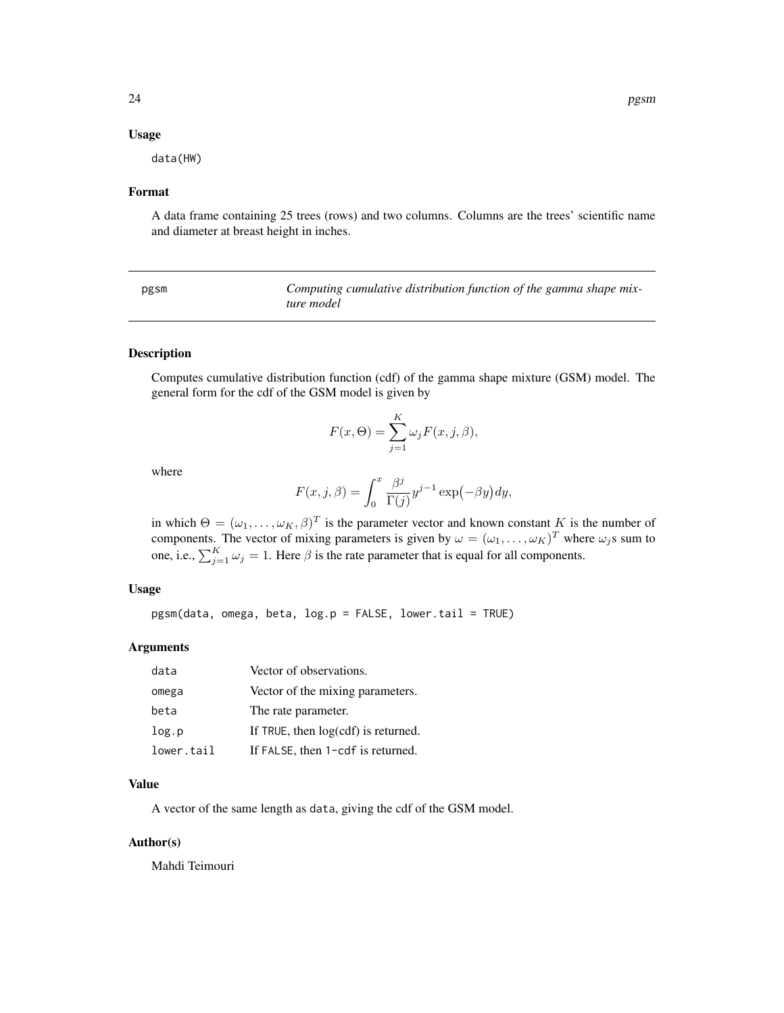#### <span id="page-23-0"></span>Usage

data(HW)

## Format

A data frame containing 25 trees (rows) and two columns. Columns are the trees' scientific name and diameter at breast height in inches.

| pgsm | Computing cumulative distribution function of the gamma shape mix- |
|------|--------------------------------------------------------------------|
|      | ture model                                                         |

#### Description

Computes cumulative distribution function (cdf) of the gamma shape mixture (GSM) model. The general form for the cdf of the GSM model is given by

$$
F(x,\Theta) = \sum_{j=1}^{K} \omega_j F(x,j,\beta),
$$

where

$$
F(x, j, \beta) = \int_0^x \frac{\beta^j}{\Gamma(j)} y^{j-1} \exp(-\beta y) dy,
$$

in which  $\Theta = (\omega_1, \dots, \omega_K, \beta)^T$  is the parameter vector and known constant K is the number of components. The vector of mixing parameters is given by  $\omega = (\omega_1, \dots, \omega_K)^T$  where  $\omega_j$ s sum to one, i.e.,  $\sum_{j=1}^{K} \omega_j = 1$ . Here  $\beta$  is the rate parameter that is equal for all components.

#### Usage

pgsm(data, omega, beta, log.p = FALSE, lower.tail = TRUE)

#### Arguments

| data       | Vector of observations.               |
|------------|---------------------------------------|
| omega      | Vector of the mixing parameters.      |
| beta       | The rate parameter.                   |
| log.p      | If TRUE, then $log(cdf)$ is returned. |
| lower.tail | If FALSE, then 1-cdf is returned.     |

## Value

A vector of the same length as data, giving the cdf of the GSM model.

#### Author(s)

Mahdi Teimouri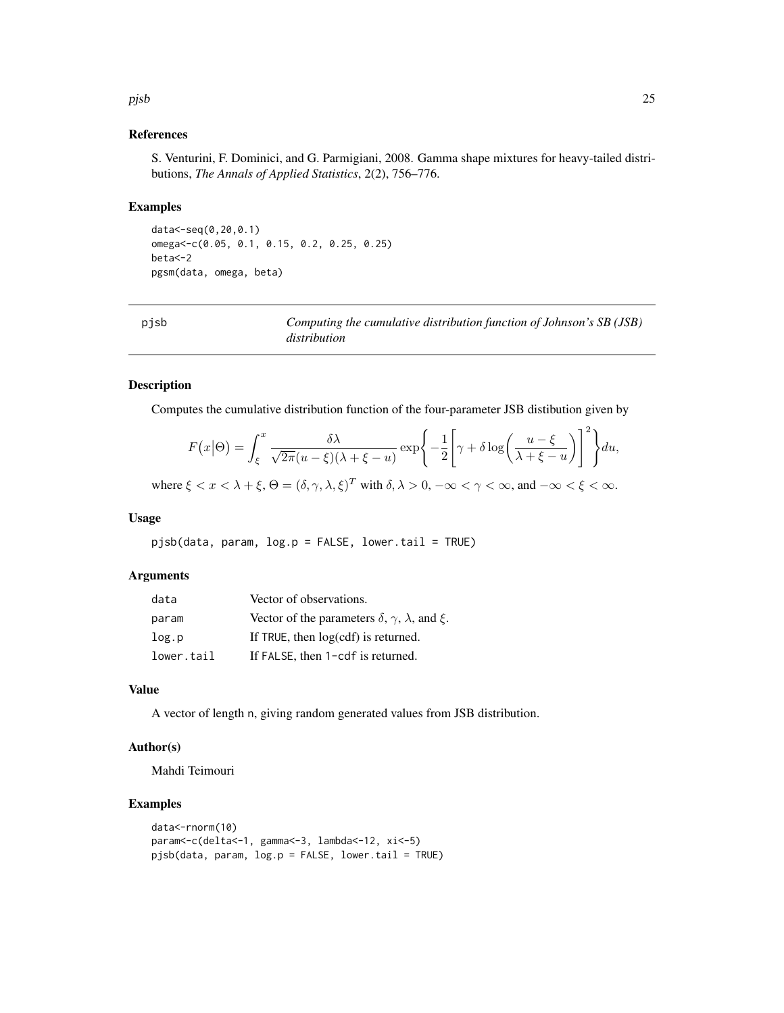#### References

S. Venturini, F. Dominici, and G. Parmigiani, 2008. Gamma shape mixtures for heavy-tailed distributions, *The Annals of Applied Statistics*, 2(2), 756–776.

#### Examples

data<-seq(0,20,0.1) omega<-c(0.05, 0.1, 0.15, 0.2, 0.25, 0.25) beta<-2 pgsm(data, omega, beta)

| pjsb | Computing the cumulative distribution function of Johnson's SB (JSB) |
|------|----------------------------------------------------------------------|
|      | distribution                                                         |

#### Description

Computes the cumulative distribution function of the four-parameter JSB distibution given by

$$
F(x|\Theta) = \int_{\xi}^{x} \frac{\delta \lambda}{\sqrt{2\pi}(u-\xi)(\lambda+\xi-u)} \exp\left\{-\frac{1}{2}\left[\gamma+\delta\log\left(\frac{u-\xi}{\lambda+\xi-u}\right)\right]^{2}\right\} du,
$$

where  $\xi < x < \lambda + \xi$ ,  $\Theta = (\delta, \gamma, \lambda, \xi)^T$  with  $\delta, \lambda > 0$ ,  $-\infty < \gamma < \infty$ , and  $-\infty < \xi < \infty$ .

#### Usage

pjsb(data, param, log.p = FALSE, lower.tail = TRUE)

#### Arguments

| data       | Vector of observations.                                                |
|------------|------------------------------------------------------------------------|
| param      | Vector of the parameters $\delta$ , $\gamma$ , $\lambda$ , and $\xi$ . |
| log.p      | If TRUE, then log(cdf) is returned.                                    |
| lower.tail | If FALSE, then 1-cdf is returned.                                      |

## Value

A vector of length n, giving random generated values from JSB distribution.

## Author(s)

Mahdi Teimouri

## Examples

```
data<-rnorm(10)
param<-c(delta<-1, gamma<-3, lambda<-12, xi<-5)
pjsb(data, param, log.p = FALSE, lowertail = TRUE)
```
<span id="page-24-0"></span>pjsb 25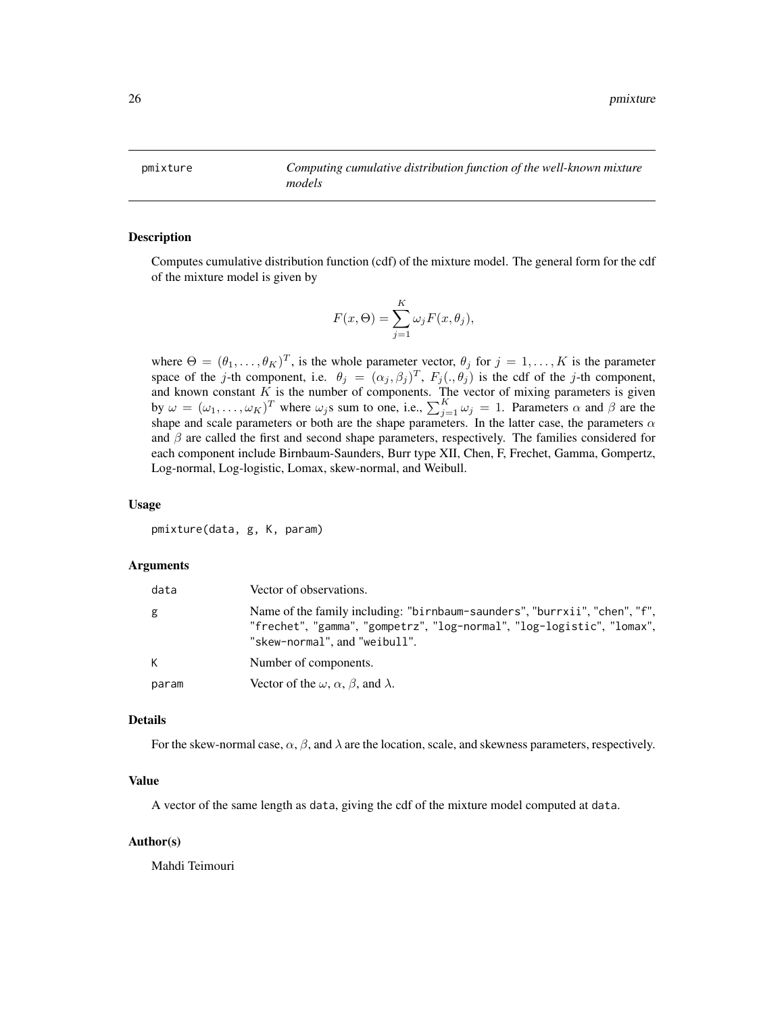<span id="page-25-0"></span>pmixture *Computing cumulative distribution function of the well-known mixture models*

#### Description

Computes cumulative distribution function (cdf) of the mixture model. The general form for the cdf of the mixture model is given by

$$
F(x, \Theta) = \sum_{j=1}^{K} \omega_j F(x, \theta_j),
$$

where  $\Theta = (\theta_1, \dots, \theta_K)^T$ , is the whole parameter vector,  $\theta_j$  for  $j = 1, \dots, K$  is the parameter space of the j-th component, i.e.  $\theta_j = (\alpha_j, \beta_j)^T$ ,  $F_j(., \theta_j)$  is the cdf of the j-th component, and known constant  $K$  is the number of components. The vector of mixing parameters is given by  $\omega = (\omega_1, \dots, \omega_K)^T$  where  $\omega_j$ s sum to one, i.e.,  $\sum_{j=1}^K \omega_j = 1$ . Parameters  $\alpha$  and  $\beta$  are the shape and scale parameters or both are the shape parameters. In the latter case, the parameters  $\alpha$ and  $\beta$  are called the first and second shape parameters, respectively. The families considered for each component include Birnbaum-Saunders, Burr type XII, Chen, F, Frechet, Gamma, Gompertz, Log-normal, Log-logistic, Lomax, skew-normal, and Weibull.

#### Usage

pmixture(data, g, K, param)

#### Arguments

| data  | Vector of observations.                                                                                                                                                               |
|-------|---------------------------------------------------------------------------------------------------------------------------------------------------------------------------------------|
| g     | Name of the family including: "birnbaum-saunders", "burrxii", "chen", "f",<br>"frechet", "gamma", "gompetrz", "log-normal", "log-logistic", "lomax",<br>"skew-normal", and "weibull". |
| K     | Number of components.                                                                                                                                                                 |
| param | Vector of the $\omega$ , $\alpha$ , $\beta$ , and $\lambda$ .                                                                                                                         |

#### Details

For the skew-normal case,  $\alpha$ ,  $\beta$ , and  $\lambda$  are the location, scale, and skewness parameters, respectively.

## Value

A vector of the same length as data, giving the cdf of the mixture model computed at data.

#### Author(s)

Mahdi Teimouri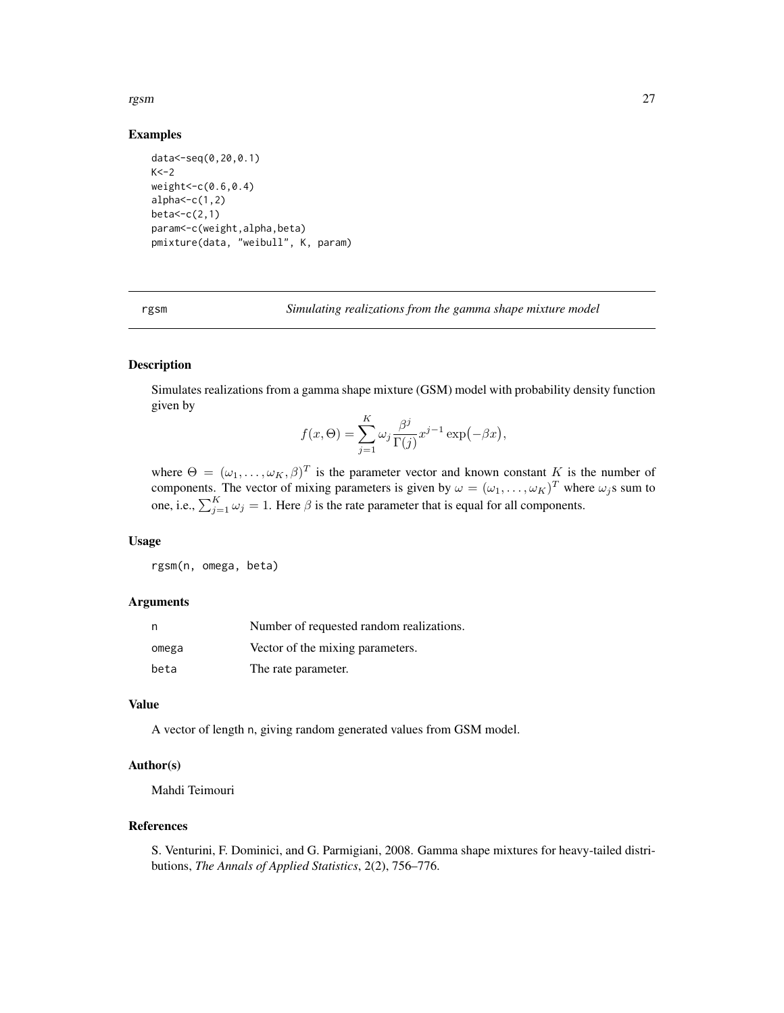#### <span id="page-26-0"></span>rgsm 27

#### Examples

```
data<-seq(0,20,0.1)
K < -2weight<-c(0.6,0.4)
alpha < -c(1,2)beta < -c(2,1)param<-c(weight,alpha,beta)
pmixture(data, "weibull", K, param)
```
rgsm *Simulating realizations from the gamma shape mixture model*

## Description

Simulates realizations from a gamma shape mixture (GSM) model with probability density function given by  $\overline{\nu}$ 

$$
f(x,\Theta) = \sum_{j=1}^{K} \omega_j \frac{\beta^j}{\Gamma(j)} x^{j-1} \exp(-\beta x),
$$

where  $\Theta = (\omega_1, \ldots, \omega_K, \beta)^T$  is the parameter vector and known constant K is the number of components. The vector of mixing parameters is given by  $\omega = (\omega_1, \dots, \omega_K)^T$  where  $\omega_j$ s sum to one, i.e.,  $\sum_{j=1}^{K} \omega_j = 1$ . Here  $\beta$  is the rate parameter that is equal for all components.

## Usage

rgsm(n, omega, beta)

#### Arguments

| n     | Number of requested random realizations. |
|-------|------------------------------------------|
| omega | Vector of the mixing parameters.         |
| beta  | The rate parameter.                      |

#### Value

A vector of length n, giving random generated values from GSM model.

## Author(s)

Mahdi Teimouri

## References

S. Venturini, F. Dominici, and G. Parmigiani, 2008. Gamma shape mixtures for heavy-tailed distributions, *The Annals of Applied Statistics*, 2(2), 756–776.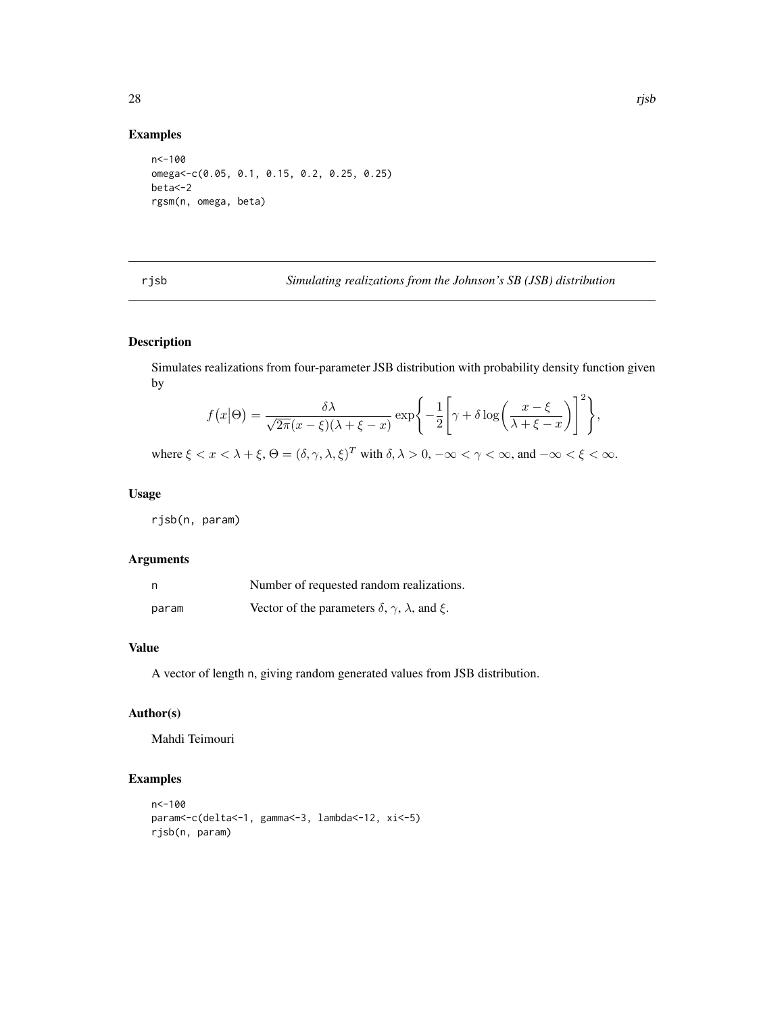<span id="page-27-0"></span>Examples

## n<-100 omega<-c(0.05, 0.1, 0.15, 0.2, 0.25, 0.25) beta<-2 rgsm(n, omega, beta)

rjsb *Simulating realizations from the Johnson's SB (JSB) distribution*

## Description

Simulates realizations from four-parameter JSB distribution with probability density function given by

$$
f(x|\Theta) = \frac{\delta \lambda}{\sqrt{2\pi}(x-\xi)(\lambda+\xi-x)} \exp\left\{-\frac{1}{2}\left[\gamma+\delta\log\left(\frac{x-\xi}{\lambda+\xi-x}\right)\right]^2\right\},\,
$$

where  $\xi < x < \lambda + \xi$ ,  $\Theta = (\delta, \gamma, \lambda, \xi)^T$  with  $\delta, \lambda > 0$ ,  $-\infty < \gamma < \infty$ , and  $-\infty < \xi < \infty$ .

## Usage

rjsb(n, param)

## Arguments

| n     | Number of requested random realizations.                               |
|-------|------------------------------------------------------------------------|
| param | Vector of the parameters $\delta$ , $\gamma$ , $\lambda$ , and $\xi$ . |

## Value

A vector of length n, giving random generated values from JSB distribution.

## Author(s)

Mahdi Teimouri

## Examples

```
n<-100
param<-c(delta<-1, gamma<-3, lambda<-12, xi<-5)
rjsb(n, param)
```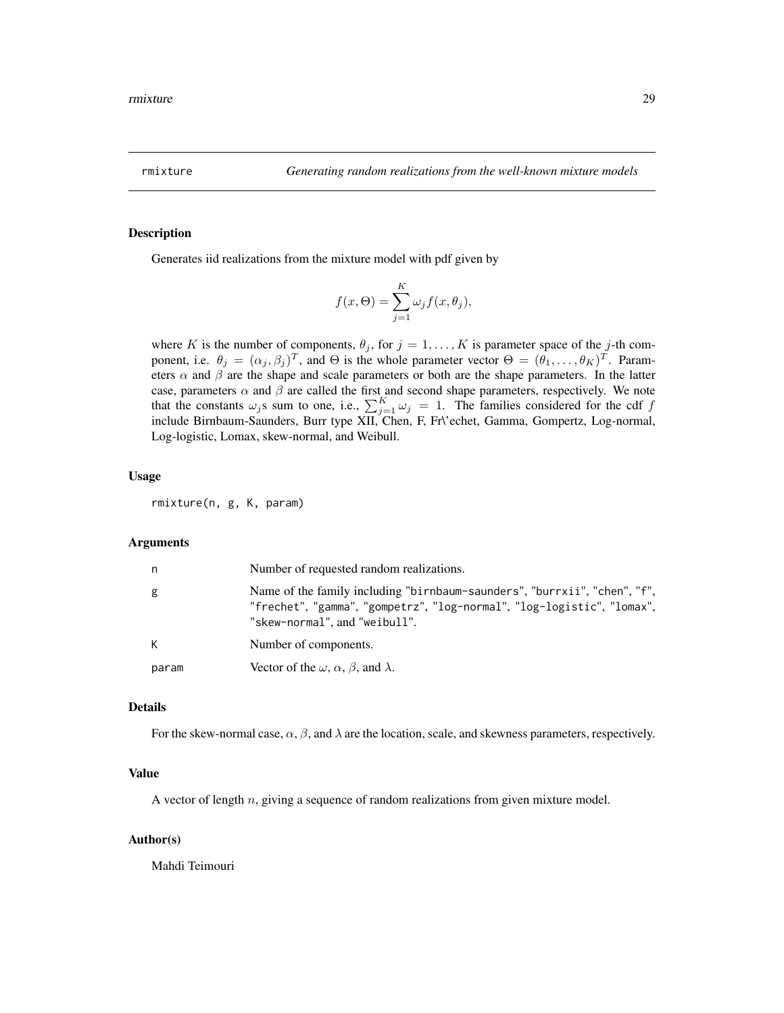<span id="page-28-0"></span>

#### Description

Generates iid realizations from the mixture model with pdf given by

$$
f(x, \Theta) = \sum_{j=1}^{K} \omega_j f(x, \theta_j),
$$

where K is the number of components,  $\theta_j$ , for  $j = 1, ..., K$  is parameter space of the j-th component, i.e.  $\theta_j = (\alpha_j, \beta_j)^T$ , and  $\Theta$  is the whole parameter vector  $\Theta = (\theta_1, \dots, \theta_K)^T$ . Parameters  $\alpha$  and  $\beta$  are the shape and scale parameters or both are the shape parameters. In the latter case, parameters  $\alpha$  and  $\beta$  are called the first and second shape parameters, respectively. We note that the constants  $\omega_j$ s sum to one, i.e.,  $\sum_{j=1}^K \omega_j = 1$ . The families considered for the cdf f include Birnbaum-Saunders, Burr type XII, Chen, F, Fr\'echet, Gamma, Gompertz, Log-normal, Log-logistic, Lomax, skew-normal, and Weibull.

#### Usage

rmixture(n, g, K, param)

#### Arguments

| n     | Number of requested random realizations.                                                                                                                                             |
|-------|--------------------------------------------------------------------------------------------------------------------------------------------------------------------------------------|
| g     | Name of the family including "birnbaum-saunders", "burrxii", "chen", "f",<br>"frechet", "gamma", "gompetrz", "log-normal", "log-logistic", "lomax",<br>"skew-normal", and "weibull". |
| K     | Number of components.                                                                                                                                                                |
| param | Vector of the $\omega$ , $\alpha$ , $\beta$ , and $\lambda$ .                                                                                                                        |

#### Details

For the skew-normal case,  $\alpha$ ,  $\beta$ , and  $\lambda$  are the location, scale, and skewness parameters, respectively.

## Value

A vector of length  $n$ , giving a sequence of random realizations from given mixture model.

#### Author(s)

Mahdi Teimouri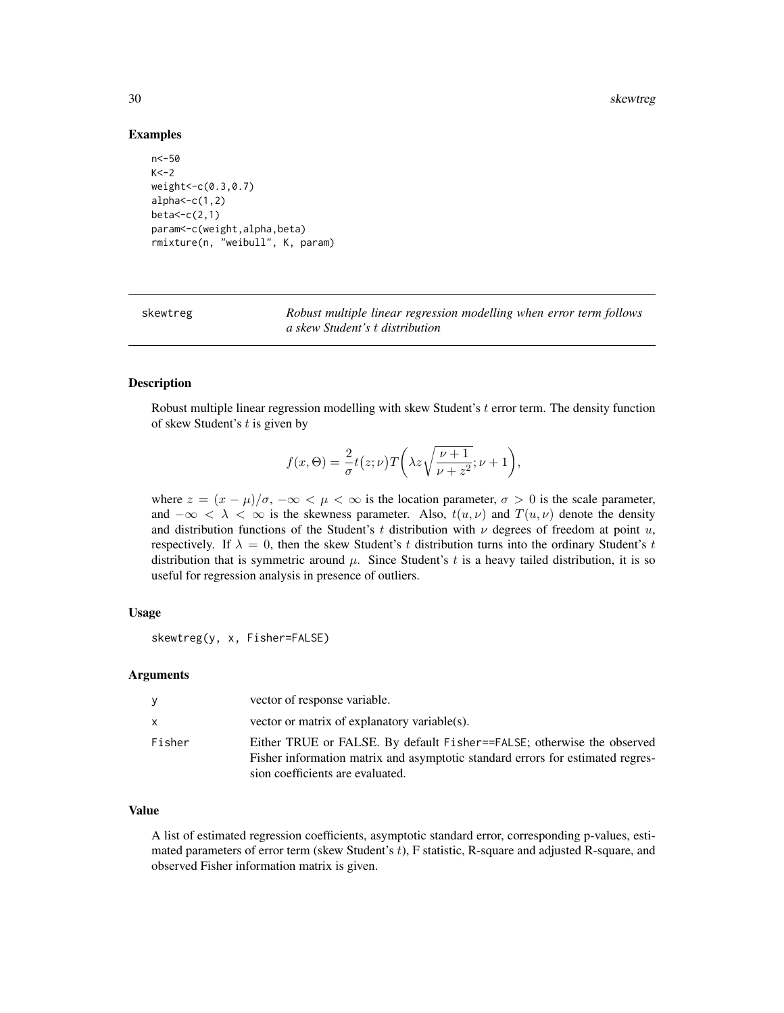#### 30 skewtreg

#### Examples

```
n<-50
K < -2weight<-c(0.3,0.7)
alpha < -c(1,2)beta<-c(2,1)
param<-c(weight,alpha,beta)
rmixture(n, "weibull", K, param)
```
skewtreg *Robust multiple linear regression modelling when error term follows a skew Student's* t *distribution*

#### Description

Robust multiple linear regression modelling with skew Student's t error term. The density function of skew Student's  $t$  is given by

$$
f(x,\Theta) = \frac{2}{\sigma}t(z;\nu)T\bigg(\lambda z\sqrt{\frac{\nu+1}{\nu+z^2}};\nu+1\bigg),\,
$$

where  $z = (x - \mu)/\sigma$ ,  $-\infty < \mu < \infty$  is the location parameter,  $\sigma > 0$  is the scale parameter, and  $-\infty < \lambda < \infty$  is the skewness parameter. Also,  $t(u, v)$  and  $T(u, v)$  denote the density and distribution functions of the Student's t distribution with  $\nu$  degrees of freedom at point u, respectively. If  $\lambda = 0$ , then the skew Student's t distribution turns into the ordinary Student's t distribution that is symmetric around  $\mu$ . Since Student's t is a heavy tailed distribution, it is so useful for regression analysis in presence of outliers.

#### Usage

```
skewtreg(y, x, Fisher=FALSE)
```
#### Arguments

| <b>V</b>     | vector of response variable.                                                                                                                                                                 |
|--------------|----------------------------------------------------------------------------------------------------------------------------------------------------------------------------------------------|
| $\mathsf{X}$ | vector or matrix of explanatory variable(s).                                                                                                                                                 |
| Fisher       | Either TRUE or FALSE. By default Fisher==FALSE; otherwise the observed<br>Fisher information matrix and asymptotic standard errors for estimated regres-<br>sion coefficients are evaluated. |

#### Value

A list of estimated regression coefficients, asymptotic standard error, corresponding p-values, estimated parameters of error term (skew Student's t), F statistic, R-square and adjusted R-square, and observed Fisher information matrix is given.

<span id="page-29-0"></span>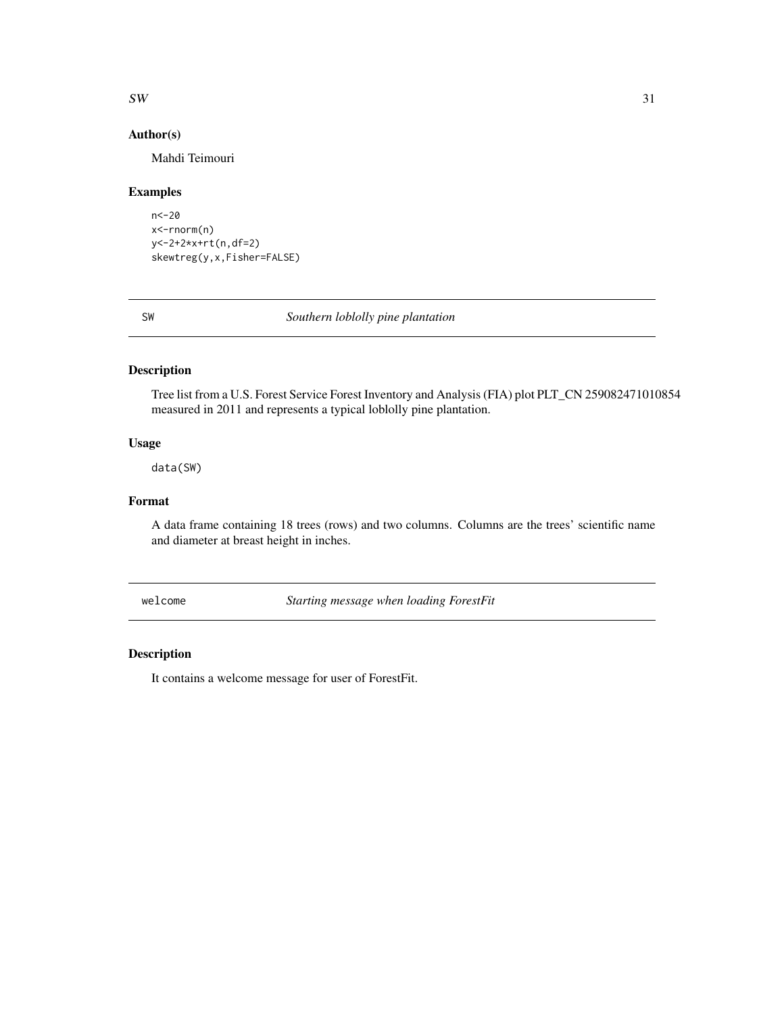#### <span id="page-30-0"></span> $SW$  31

## Author(s)

Mahdi Teimouri

## Examples

```
n<-20
x<-rnorm(n)
y<-2+2*x+rt(n,df=2)
skewtreg(y,x,Fisher=FALSE)
```
SW *Southern loblolly pine plantation*

## Description

Tree list from a U.S. Forest Service Forest Inventory and Analysis (FIA) plot PLT\_CN 259082471010854 measured in 2011 and represents a typical loblolly pine plantation.

## Usage

data(SW)

## Format

A data frame containing 18 trees (rows) and two columns. Columns are the trees' scientific name and diameter at breast height in inches.

welcome *Starting message when loading ForestFit*

## Description

It contains a welcome message for user of ForestFit.